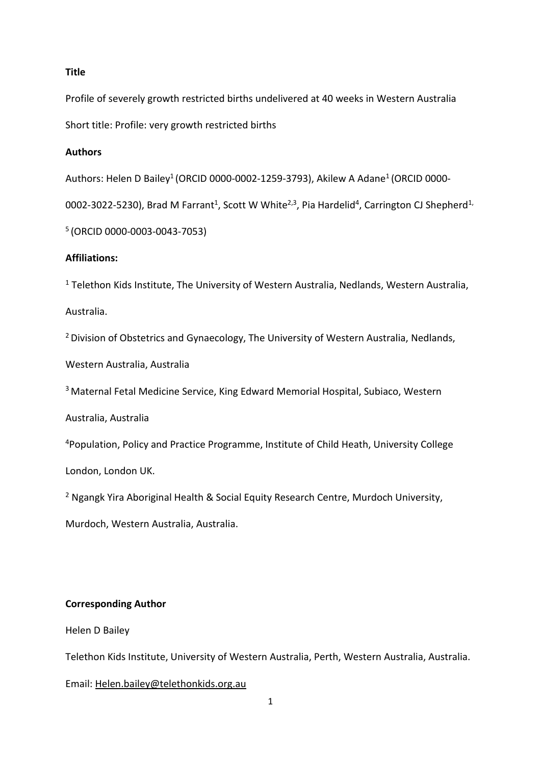## **Title**

Profile of severely growth restricted births undelivered at 40 weeks in Western Australia Short title: Profile: very growth restricted births

## **Authors**

Authors: Helen D Bailey<sup>1</sup> (ORCID 0000-0002-1259-3793), Akilew A Adane<sup>1</sup> (ORCID 0000-

0002-3022-5230), Brad M Farrant<sup>1</sup>, Scott W White<sup>2,3</sup>, Pia Hardelid<sup>4</sup>, Carrington CJ Shepherd<sup>1,</sup>

<sup>5</sup> (ORCID 0000-0003-0043-7053)

## **Affiliations:**

 $1$  Telethon Kids Institute, The University of Western Australia, Nedlands, Western Australia,

Australia.

<sup>2</sup> Division of Obstetrics and Gynaecology, The University of Western Australia, Nedlands,

Western Australia, Australia

<sup>3</sup> Maternal Fetal Medicine Service, King Edward Memorial Hospital, Subiaco, Western

Australia, Australia

4Population, Policy and Practice Programme, Institute of Child Heath, University College

London, London UK.

<sup>2</sup> Ngangk Yira Aboriginal Health & Social Equity Research Centre, Murdoch University,

Murdoch, Western Australia, Australia.

# **Corresponding Author**

Helen D Bailey

Telethon Kids Institute, University of Western Australia, Perth, Western Australia, Australia.

Email: [Helen.bailey@telethonkids.org.au](mailto:Helen.bailey@telethonkids.org.au)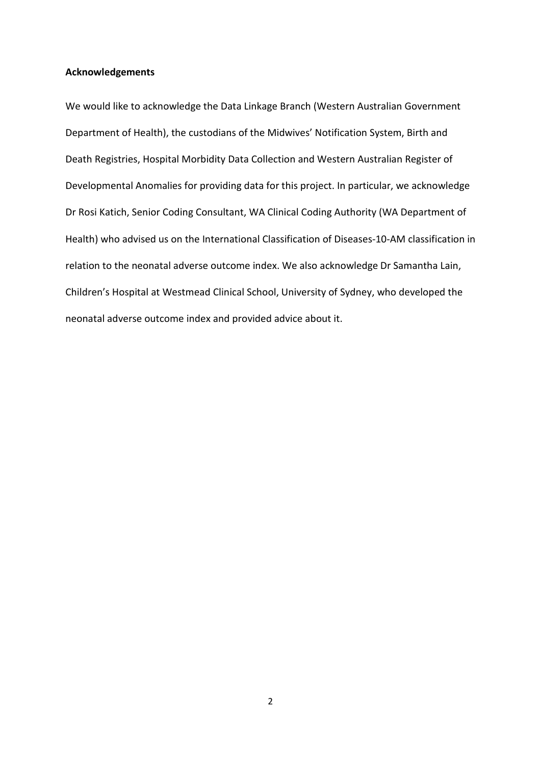## **Acknowledgements**

We would like to acknowledge the Data Linkage Branch (Western Australian Government Department of Health), the custodians of the Midwives' Notification System, Birth and Death Registries, Hospital Morbidity Data Collection and Western Australian Register of Developmental Anomalies for providing data for this project. In particular, we acknowledge Dr Rosi Katich, Senior Coding Consultant, WA Clinical Coding Authority (WA Department of Health) who advised us on the International Classification of Diseases-10-AM classification in relation to the neonatal adverse outcome index. We also acknowledge Dr Samantha Lain, Children's Hospital at Westmead Clinical School, University of Sydney, who developed the neonatal adverse outcome index and provided advice about it.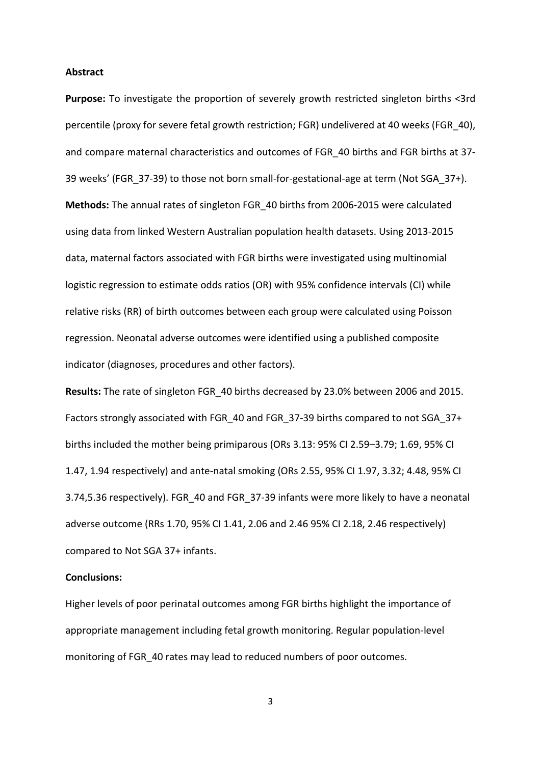#### **Abstract**

**Purpose:** To investigate the proportion of severely growth restricted singleton births <3rd percentile (proxy for severe fetal growth restriction; FGR) undelivered at 40 weeks (FGR\_40), and compare maternal characteristics and outcomes of FGR\_40 births and FGR births at 37- 39 weeks' (FGR\_37-39) to those not born small-for-gestational-age at term (Not SGA\_37+). **Methods:** The annual rates of singleton FGR\_40 births from 2006-2015 were calculated using data from linked Western Australian population health datasets. Using 2013-2015 data, maternal factors associated with FGR births were investigated using multinomial logistic regression to estimate odds ratios (OR) with 95% confidence intervals (CI) while relative risks (RR) of birth outcomes between each group were calculated using Poisson regression. Neonatal adverse outcomes were identified using a published composite indicator (diagnoses, procedures and other factors).

**Results:** The rate of singleton FGR\_40 births decreased by 23.0% between 2006 and 2015. Factors strongly associated with FGR\_40 and FGR\_37-39 births compared to not SGA\_37+ births included the mother being primiparous (ORs 3.13: 95% CI 2.59–3.79; 1.69, 95% CI 1.47, 1.94 respectively) and ante-natal smoking (ORs 2.55, 95% CI 1.97, 3.32; 4.48, 95% CI 3.74,5.36 respectively). FGR\_40 and FGR\_37-39 infants were more likely to have a neonatal adverse outcome (RRs 1.70, 95% CI 1.41, 2.06 and 2.46 95% CI 2.18, 2.46 respectively) compared to Not SGA 37+ infants.

#### **Conclusions:**

Higher levels of poor perinatal outcomes among FGR births highlight the importance of appropriate management including fetal growth monitoring. Regular population-level monitoring of FGR\_40 rates may lead to reduced numbers of poor outcomes.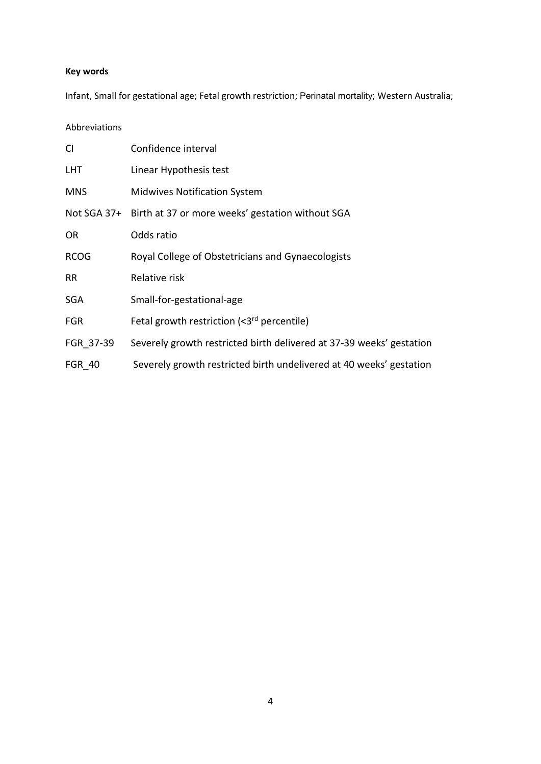# **Key words**

Infant, Small for gestational age; Fetal growth restriction; Perinatal mortality; Western Australia;

Abbreviations

| <b>CI</b>     | Confidence interval                                                  |
|---------------|----------------------------------------------------------------------|
| <b>LHT</b>    | Linear Hypothesis test                                               |
| <b>MNS</b>    | <b>Midwives Notification System</b>                                  |
|               | Not SGA 37+ Birth at 37 or more weeks' gestation without SGA         |
| OR.           | Odds ratio                                                           |
| <b>RCOG</b>   | Royal College of Obstetricians and Gynaecologists                    |
| RR            | Relative risk                                                        |
| <b>SGA</b>    | Small-for-gestational-age                                            |
| <b>FGR</b>    | Fetal growth restriction (<3rd percentile)                           |
| FGR 37-39     | Severely growth restricted birth delivered at 37-39 weeks' gestation |
| <b>FGR 40</b> | Severely growth restricted birth undelivered at 40 weeks' gestation  |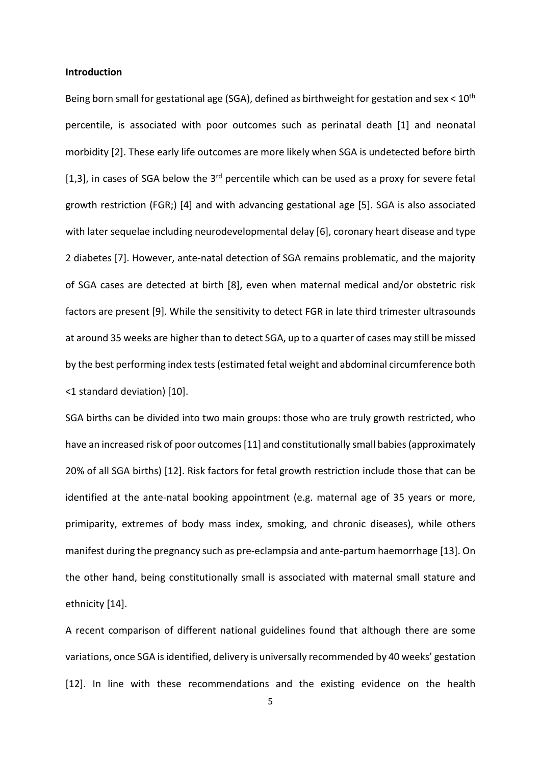### **Introduction**

Being born small for gestational age (SGA), defined as birthweight for gestation and sex <  $10<sup>th</sup>$ percentile, is associated with poor outcomes such as perinatal death [1] and neonatal morbidity [2]. These early life outcomes are more likely when SGA is undetected before birth [1,3], in cases of SGA below the  $3<sup>rd</sup>$  percentile which can be used as a proxy for severe fetal growth restriction (FGR;) [4] and with advancing gestational age [5]. SGA is also associated with later sequelae including neurodevelopmental delay [6], coronary heart disease and type 2 diabetes [7]. However, ante-natal detection of SGA remains problematic, and the majority of SGA cases are detected at birth [8], even when maternal medical and/or obstetric risk factors are present [9]. While the sensitivity to detect FGR in late third trimester ultrasounds at around 35 weeks are higher than to detect SGA, up to a quarter of cases may still be missed by the best performing index tests(estimated fetal weight and abdominal circumference both <1 standard deviation) [10].

SGA births can be divided into two main groups: those who are truly growth restricted, who have an increased risk of poor outcomes [11] and constitutionally small babies (approximately 20% of all SGA births) [12]. Risk factors for fetal growth restriction include those that can be identified at the ante-natal booking appointment (e.g. maternal age of 35 years or more, primiparity, extremes of body mass index, smoking, and chronic diseases), while others manifest during the pregnancy such as pre-eclampsia and ante-partum haemorrhage [13]. On the other hand, being constitutionally small is associated with maternal small stature and ethnicity [14].

A recent comparison of different national guidelines found that although there are some variations, once SGA is identified, delivery is universally recommended by 40 weeks' gestation [12]. In line with these recommendations and the existing evidence on the health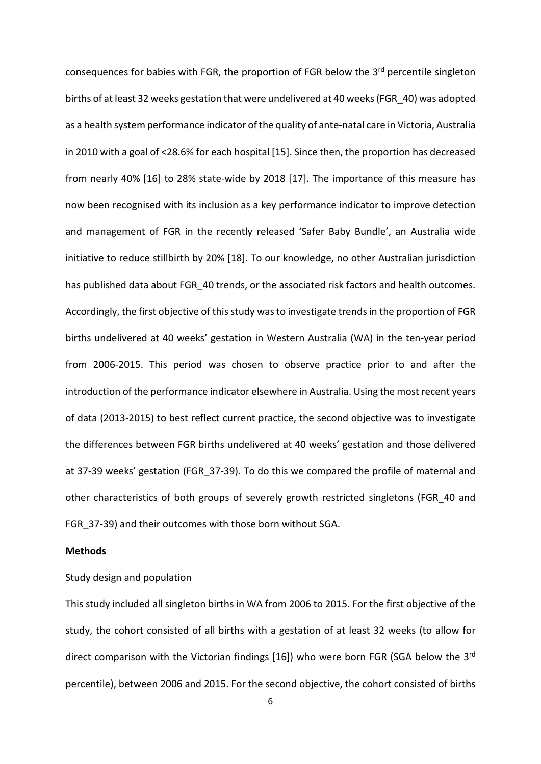consequences for babies with FGR, the proportion of FGR below the 3<sup>rd</sup> percentile singleton births of at least 32 weeks gestation that were undelivered at 40 weeks (FGR\_40) was adopted as a health system performance indicator of the quality of ante-natal care in Victoria, Australia in 2010 with a goal of <28.6% for each hospital [15]. Since then, the proportion has decreased from nearly 40% [16] to 28% state-wide by 2018 [17]. The importance of this measure has now been recognised with its inclusion as a key performance indicator to improve detection and management of FGR in the recently released 'Safer Baby Bundle', an Australia wide initiative to reduce stillbirth by 20% [18]. To our knowledge, no other Australian jurisdiction has published data about FGR 40 trends, or the associated risk factors and health outcomes. Accordingly, the first objective of this study was to investigate trends in the proportion of FGR births undelivered at 40 weeks' gestation in Western Australia (WA) in the ten-year period from 2006-2015. This period was chosen to observe practice prior to and after the introduction of the performance indicator elsewhere in Australia. Using the most recent years of data (2013-2015) to best reflect current practice, the second objective was to investigate the differences between FGR births undelivered at 40 weeks' gestation and those delivered at 37-39 weeks' gestation (FGR\_37-39). To do this we compared the profile of maternal and other characteristics of both groups of severely growth restricted singletons (FGR\_40 and FGR\_37-39) and their outcomes with those born without SGA.

## **Methods**

## Study design and population

This study included all singleton births in WA from 2006 to 2015. For the first objective of the study, the cohort consisted of all births with a gestation of at least 32 weeks (to allow for direct comparison with the Victorian findings [16]) who were born FGR (SGA below the 3<sup>rd</sup> percentile), between 2006 and 2015. For the second objective, the cohort consisted of births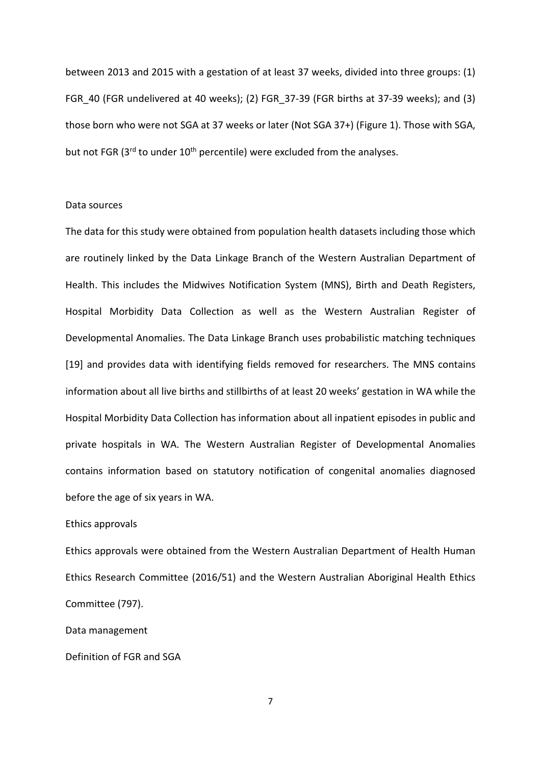between 2013 and 2015 with a gestation of at least 37 weeks, divided into three groups: (1) FGR 40 (FGR undelivered at 40 weeks); (2) FGR 37-39 (FGR births at 37-39 weeks); and (3) those born who were not SGA at 37 weeks or later (Not SGA 37+) (Figure 1). Those with SGA, but not FGR ( $3<sup>rd</sup>$  to under  $10<sup>th</sup>$  percentile) were excluded from the analyses.

#### Data sources

The data for this study were obtained from population health datasets including those which are routinely linked by the Data Linkage Branch of the Western Australian Department of Health. This includes the Midwives Notification System (MNS), Birth and Death Registers, Hospital Morbidity Data Collection as well as the Western Australian Register of Developmental Anomalies. The Data Linkage Branch uses probabilistic matching techniques [19] and provides data with identifying fields removed for researchers. The MNS contains information about all live births and stillbirths of at least 20 weeks' gestation in WA while the Hospital Morbidity Data Collection has information about all inpatient episodes in public and private hospitals in WA. The Western Australian Register of Developmental Anomalies contains information based on statutory notification of congenital anomalies diagnosed before the age of six years in WA.

### Ethics approvals

Ethics approvals were obtained from the Western Australian Department of Health Human Ethics Research Committee (2016/51) and the Western Australian Aboriginal Health Ethics Committee (797).

Data management

Definition of FGR and SGA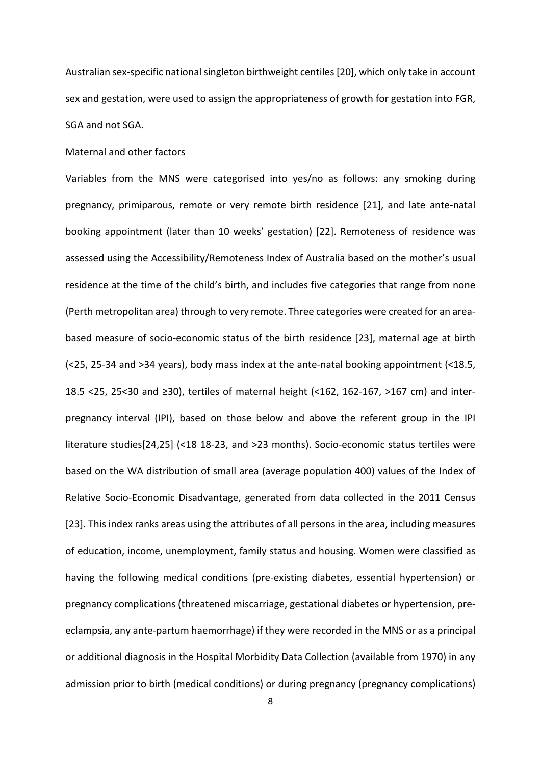Australian sex-specific national singleton birthweight centiles[20], which only take in account sex and gestation, were used to assign the appropriateness of growth for gestation into FGR, SGA and not SGA.

#### Maternal and other factors

Variables from the MNS were categorised into yes/no as follows: any smoking during pregnancy, primiparous, remote or very remote birth residence [21], and late ante-natal booking appointment (later than 10 weeks' gestation) [22]. Remoteness of residence was assessed using the Accessibility/Remoteness Index of Australia based on the mother's usual residence at the time of the child's birth, and includes five categories that range from none (Perth metropolitan area) through to very remote. Three categories were created for an areabased measure of socio-economic status of the birth residence [23], maternal age at birth (<25, 25-34 and >34 years), body mass index at the ante-natal booking appointment (<18.5, 18.5 <25, 25<30 and ≥30), tertiles of maternal height (<162, 162-167, >167 cm) and interpregnancy interval (IPI), based on those below and above the referent group in the IPI literature studies[24,25] (<18 18-23, and >23 months). Socio-economic status tertiles were based on the WA distribution of small area (average population 400) values of the Index of Relative Socio-Economic Disadvantage, generated from data collected in the 2011 Census [23]. This index ranks areas using the attributes of all persons in the area, including measures of education, income, unemployment, family status and housing. Women were classified as having the following medical conditions (pre-existing diabetes, essential hypertension) or pregnancy complications (threatened miscarriage, gestational diabetes or hypertension, preeclampsia, any ante-partum haemorrhage) if they were recorded in the MNS or as a principal or additional diagnosis in the Hospital Morbidity Data Collection (available from 1970) in any admission prior to birth (medical conditions) or during pregnancy (pregnancy complications)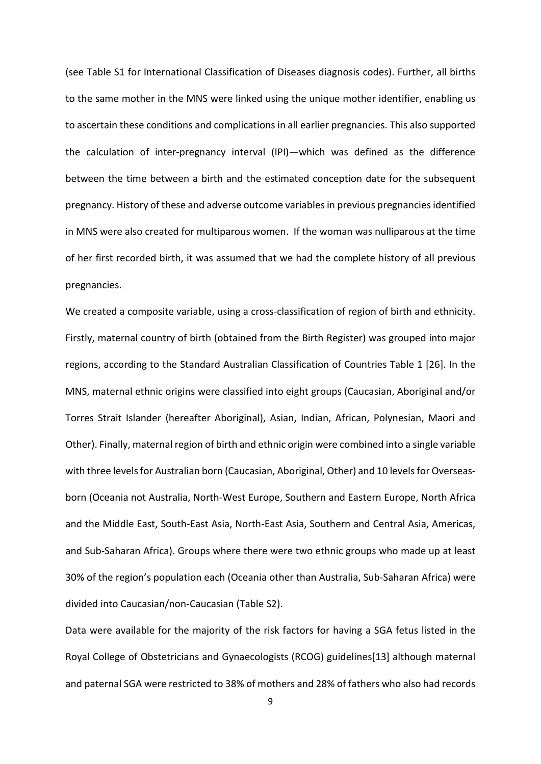(see Table S1 for International Classification of Diseases diagnosis codes). Further, all births to the same mother in the MNS were linked using the unique mother identifier, enabling us to ascertain these conditions and complications in all earlier pregnancies. This also supported the calculation of inter-pregnancy interval (IPI)—which was defined as the difference between the time between a birth and the estimated conception date for the subsequent pregnancy. History of these and adverse outcome variables in previous pregnancies identified in MNS were also created for multiparous women. If the woman was nulliparous at the time of her first recorded birth, it was assumed that we had the complete history of all previous pregnancies.

We created a composite variable, using a cross-classification of region of birth and ethnicity. Firstly, maternal country of birth (obtained from the Birth Register) was grouped into major regions, according to the Standard Australian Classification of Countries Table 1 [26]. In the MNS, maternal ethnic origins were classified into eight groups (Caucasian, Aboriginal and/or Torres Strait Islander (hereafter Aboriginal), Asian, Indian, African, Polynesian, Maori and Other). Finally, maternal region of birth and ethnic origin were combined into a single variable with three levels for Australian born (Caucasian, Aboriginal, Other) and 10 levels for Overseasborn (Oceania not Australia, North-West Europe, Southern and Eastern Europe, North Africa and the Middle East, South-East Asia, North-East Asia, Southern and Central Asia, Americas, and Sub-Saharan Africa). Groups where there were two ethnic groups who made up at least 30% of the region's population each (Oceania other than Australia, Sub-Saharan Africa) were divided into Caucasian/non-Caucasian (Table S2).

Data were available for the majority of the risk factors for having a SGA fetus listed in the Royal College of Obstetricians and Gynaecologists (RCOG) guidelines[13] although maternal and paternal SGA were restricted to 38% of mothers and 28% of fathers who also had records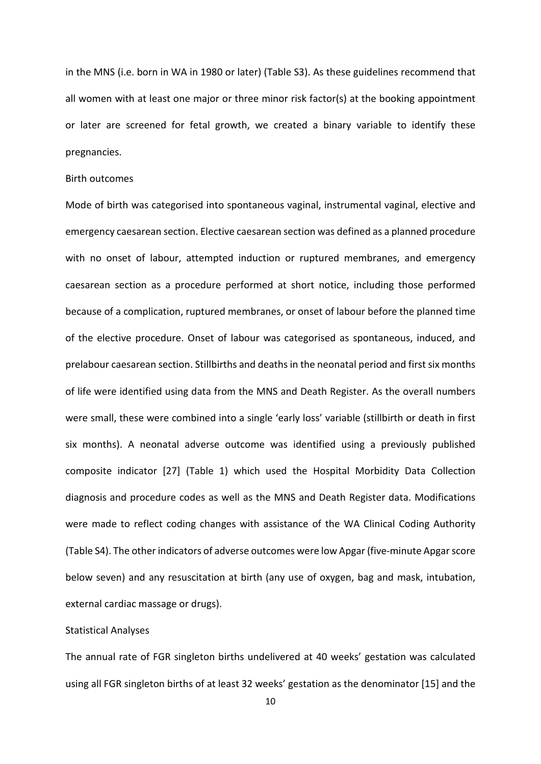in the MNS (i.e. born in WA in 1980 or later) (Table S3). As these guidelines recommend that all women with at least one major or three minor risk factor(s) at the booking appointment or later are screened for fetal growth, we created a binary variable to identify these pregnancies.

## Birth outcomes

Mode of birth was categorised into spontaneous vaginal, instrumental vaginal, elective and emergency caesarean section. Elective caesarean section was defined as a planned procedure with no onset of labour, attempted induction or ruptured membranes, and emergency caesarean section as a procedure performed at short notice, including those performed because of a complication, ruptured membranes, or onset of labour before the planned time of the elective procedure. Onset of labour was categorised as spontaneous, induced, and prelabour caesarean section. Stillbirths and deaths in the neonatal period and first six months of life were identified using data from the MNS and Death Register. As the overall numbers were small, these were combined into a single 'early loss' variable (stillbirth or death in first six months). A neonatal adverse outcome was identified using a previously published composite indicator [27] (Table 1) which used the Hospital Morbidity Data Collection diagnosis and procedure codes as well as the MNS and Death Register data. Modifications were made to reflect coding changes with assistance of the WA Clinical Coding Authority (Table S4). The other indicators of adverse outcomes were low Apgar (five-minute Apgar score below seven) and any resuscitation at birth (any use of oxygen, bag and mask, intubation, external cardiac massage or drugs).

#### Statistical Analyses

The annual rate of FGR singleton births undelivered at 40 weeks' gestation was calculated using all FGR singleton births of at least 32 weeks' gestation as the denominator [15] and the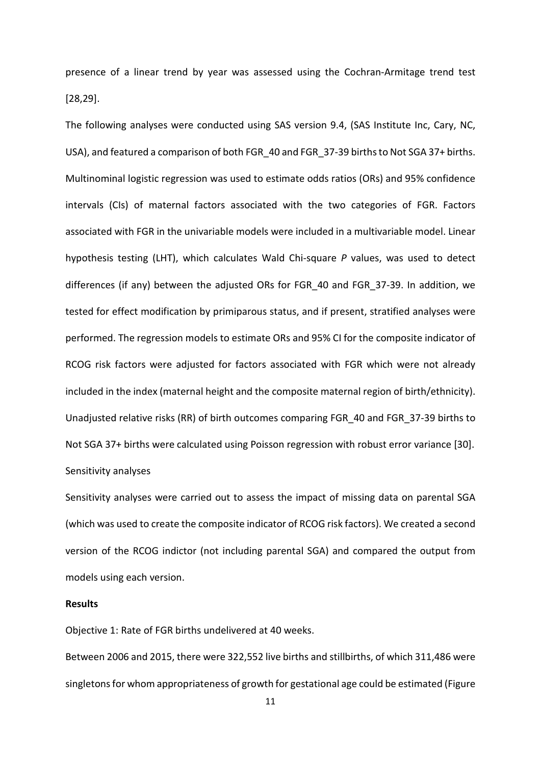presence of a linear trend by year was assessed using the Cochran-Armitage trend test [28,29].

The following analyses were conducted using SAS version 9.4, (SAS Institute Inc, Cary, NC, USA), and featured a comparison of both FGR\_40 and FGR\_37-39 births to Not SGA 37+ births. Multinominal logistic regression was used to estimate odds ratios (ORs) and 95% confidence intervals (CIs) of maternal factors associated with the two categories of FGR. Factors associated with FGR in the univariable models were included in a multivariable model. Linear hypothesis testing (LHT), which calculates Wald Chi-square *P* values, was used to detect differences (if any) between the adjusted ORs for FGR\_40 and FGR\_37-39. In addition, we tested for effect modification by primiparous status, and if present, stratified analyses were performed. The regression models to estimate ORs and 95% CI for the composite indicator of RCOG risk factors were adjusted for factors associated with FGR which were not already included in the index (maternal height and the composite maternal region of birth/ethnicity). Unadjusted relative risks (RR) of birth outcomes comparing FGR\_40 and FGR\_37-39 births to Not SGA 37+ births were calculated using Poisson regression with robust error variance [30]. Sensitivity analyses

Sensitivity analyses were carried out to assess the impact of missing data on parental SGA (which was used to create the composite indicator of RCOG risk factors). We created a second version of the RCOG indictor (not including parental SGA) and compared the output from models using each version.

## **Results**

Objective 1: Rate of FGR births undelivered at 40 weeks.

Between 2006 and 2015, there were 322,552 live births and stillbirths, of which 311,486 were singletons for whom appropriateness of growth for gestational age could be estimated (Figure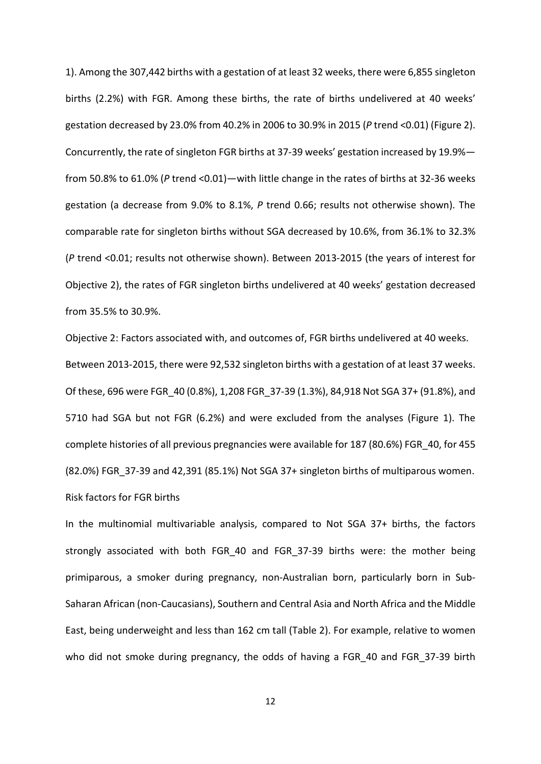1). Among the 307,442 births with a gestation of at least 32 weeks, there were 6,855 singleton births (2.2%) with FGR. Among these births, the rate of births undelivered at 40 weeks' gestation decreased by 23.0% from 40.2% in 2006 to 30.9% in 2015 (*P* trend <0.01) (Figure 2). Concurrently, the rate of singleton FGR births at 37-39 weeks' gestation increased by 19.9% from 50.8% to 61.0% (*P* trend <0.01)—with little change in the rates of births at 32-36 weeks gestation (a decrease from 9.0% to 8.1%, *P* trend 0.66; results not otherwise shown). The comparable rate for singleton births without SGA decreased by 10.6%, from 36.1% to 32.3% (*P* trend <0.01; results not otherwise shown). Between 2013-2015 (the years of interest for Objective 2), the rates of FGR singleton births undelivered at 40 weeks' gestation decreased from 35.5% to 30.9%.

Objective 2: Factors associated with, and outcomes of, FGR births undelivered at 40 weeks. Between 2013-2015, there were 92,532 singleton births with a gestation of at least 37 weeks. Of these, 696 were FGR\_40 (0.8%), 1,208 FGR\_37-39 (1.3%), 84,918 Not SGA 37+ (91.8%), and 5710 had SGA but not FGR (6.2%) and were excluded from the analyses (Figure 1). The complete histories of all previous pregnancies were available for 187 (80.6%) FGR\_40, for 455 (82.0%) FGR\_37-39 and 42,391 (85.1%) Not SGA 37+ singleton births of multiparous women. Risk factors for FGR births

In the multinomial multivariable analysis, compared to Not SGA 37+ births, the factors strongly associated with both FGR\_40 and FGR\_37-39 births were: the mother being primiparous, a smoker during pregnancy, non-Australian born, particularly born in Sub-Saharan African (non-Caucasians), Southern and Central Asia and North Africa and the Middle East, being underweight and less than 162 cm tall (Table 2). For example, relative to women who did not smoke during pregnancy, the odds of having a FGR\_40 and FGR\_37-39 birth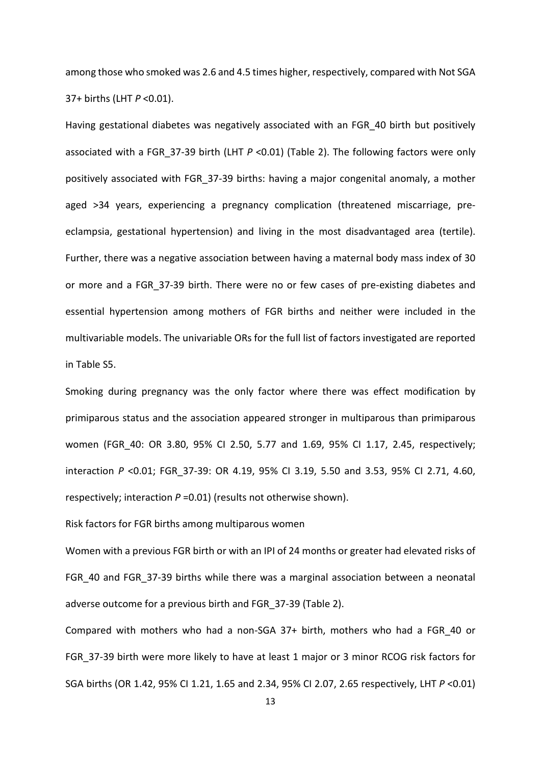among those who smoked was 2.6 and 4.5 times higher, respectively, compared with Not SGA 37+ births (LHT *P* <0.01).

Having gestational diabetes was negatively associated with an FGR\_40 birth but positively associated with a FGR 37-39 birth (LHT *P* <0.01) (Table 2). The following factors were only positively associated with FGR\_37-39 births: having a major congenital anomaly, a mother aged >34 years, experiencing a pregnancy complication (threatened miscarriage, preeclampsia, gestational hypertension) and living in the most disadvantaged area (tertile). Further, there was a negative association between having a maternal body mass index of 30 or more and a FGR\_37-39 birth. There were no or few cases of pre-existing diabetes and essential hypertension among mothers of FGR births and neither were included in the multivariable models. The univariable ORs for the full list of factors investigated are reported in Table S5.

Smoking during pregnancy was the only factor where there was effect modification by primiparous status and the association appeared stronger in multiparous than primiparous women (FGR\_40: OR 3.80, 95% CI 2.50, 5.77 and 1.69, 95% CI 1.17, 2.45, respectively; interaction *P* <0.01; FGR\_37-39: OR 4.19, 95% CI 3.19, 5.50 and 3.53, 95% CI 2.71, 4.60, respectively; interaction *P* =0.01) (results not otherwise shown).

Risk factors for FGR births among multiparous women

Women with a previous FGR birth or with an IPI of 24 months or greater had elevated risks of FGR 40 and FGR 37-39 births while there was a marginal association between a neonatal adverse outcome for a previous birth and FGR\_37-39 (Table 2).

Compared with mothers who had a non-SGA 37+ birth, mothers who had a FGR\_40 or FGR\_37-39 birth were more likely to have at least 1 major or 3 minor RCOG risk factors for SGA births (OR 1.42, 95% CI 1.21, 1.65 and 2.34, 95% CI 2.07, 2.65 respectively, LHT *P* <0.01)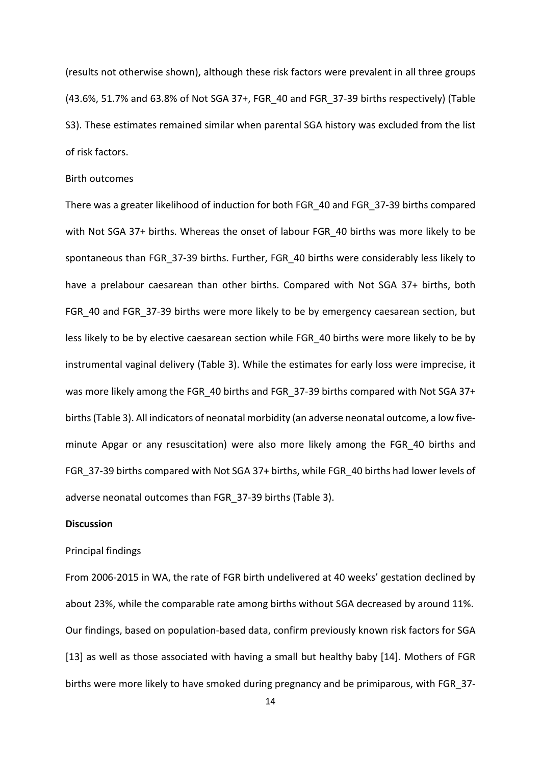(results not otherwise shown), although these risk factors were prevalent in all three groups (43.6%, 51.7% and 63.8% of Not SGA 37+, FGR\_40 and FGR\_37-39 births respectively) (Table S3). These estimates remained similar when parental SGA history was excluded from the list of risk factors.

## Birth outcomes

There was a greater likelihood of induction for both FGR\_40 and FGR\_37-39 births compared with Not SGA 37+ births. Whereas the onset of labour FGR\_40 births was more likely to be spontaneous than FGR\_37-39 births. Further, FGR\_40 births were considerably less likely to have a prelabour caesarean than other births. Compared with Not SGA 37+ births, both FGR 40 and FGR 37-39 births were more likely to be by emergency caesarean section, but less likely to be by elective caesarean section while FGR\_40 births were more likely to be by instrumental vaginal delivery (Table 3). While the estimates for early loss were imprecise, it was more likely among the FGR 40 births and FGR 37-39 births compared with Not SGA 37+ births(Table 3). All indicators of neonatal morbidity (an adverse neonatal outcome, a low fiveminute Apgar or any resuscitation) were also more likely among the FGR\_40 births and FGR 37-39 births compared with Not SGA 37+ births, while FGR 40 births had lower levels of adverse neonatal outcomes than FGR\_37-39 births (Table 3).

## **Discussion**

#### Principal findings

From 2006-2015 in WA, the rate of FGR birth undelivered at 40 weeks' gestation declined by about 23%, while the comparable rate among births without SGA decreased by around 11%. Our findings, based on population-based data, confirm previously known risk factors for SGA [13] as well as those associated with having a small but healthy baby [14]. Mothers of FGR births were more likely to have smoked during pregnancy and be primiparous, with FGR\_37-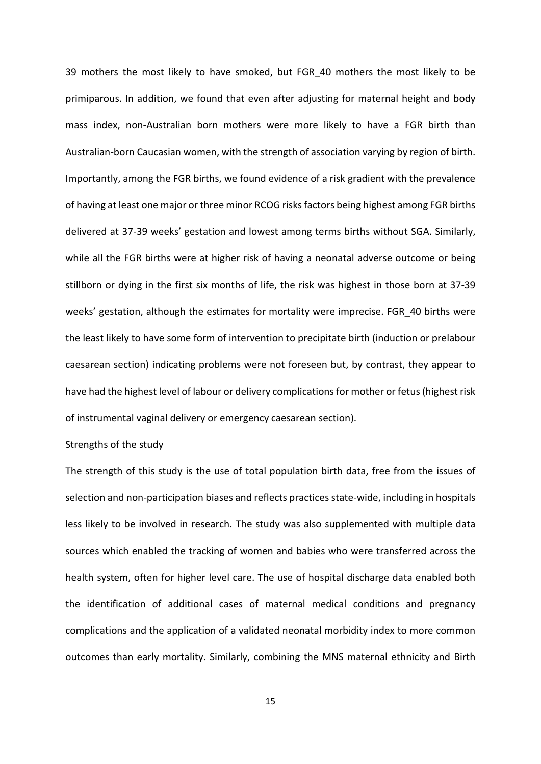39 mothers the most likely to have smoked, but FGR\_40 mothers the most likely to be primiparous. In addition, we found that even after adjusting for maternal height and body mass index, non-Australian born mothers were more likely to have a FGR birth than Australian-born Caucasian women, with the strength of association varying by region of birth. Importantly, among the FGR births, we found evidence of a risk gradient with the prevalence of having at least one major or three minor RCOG risks factors being highest among FGR births delivered at 37-39 weeks' gestation and lowest among terms births without SGA. Similarly, while all the FGR births were at higher risk of having a neonatal adverse outcome or being stillborn or dying in the first six months of life, the risk was highest in those born at 37-39 weeks' gestation, although the estimates for mortality were imprecise. FGR 40 births were the least likely to have some form of intervention to precipitate birth (induction or prelabour caesarean section) indicating problems were not foreseen but, by contrast, they appear to have had the highest level of labour or delivery complications for mother or fetus (highest risk of instrumental vaginal delivery or emergency caesarean section).

## Strengths of the study

The strength of this study is the use of total population birth data, free from the issues of selection and non-participation biases and reflects practices state-wide, including in hospitals less likely to be involved in research. The study was also supplemented with multiple data sources which enabled the tracking of women and babies who were transferred across the health system, often for higher level care. The use of hospital discharge data enabled both the identification of additional cases of maternal medical conditions and pregnancy complications and the application of a validated neonatal morbidity index to more common outcomes than early mortality. Similarly, combining the MNS maternal ethnicity and Birth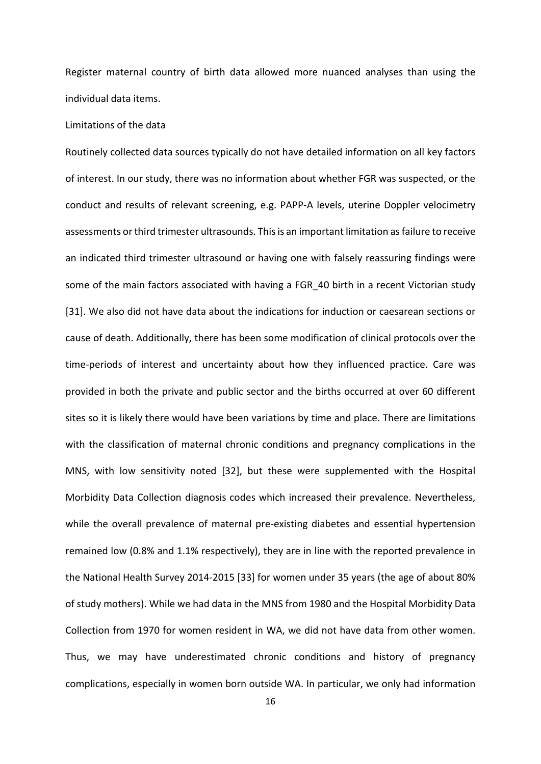Register maternal country of birth data allowed more nuanced analyses than using the individual data items.

### Limitations of the data

Routinely collected data sources typically do not have detailed information on all key factors of interest. In our study, there was no information about whether FGR was suspected, or the conduct and results of relevant screening, e.g. PAPP-A levels, uterine Doppler velocimetry assessments or third trimester ultrasounds. This is an important limitation as failure to receive an indicated third trimester ultrasound or having one with falsely reassuring findings were some of the main factors associated with having a FGR 40 birth in a recent Victorian study [31]. We also did not have data about the indications for induction or caesarean sections or cause of death. Additionally, there has been some modification of clinical protocols over the time-periods of interest and uncertainty about how they influenced practice. Care was provided in both the private and public sector and the births occurred at over 60 different sites so it is likely there would have been variations by time and place. There are limitations with the classification of maternal chronic conditions and pregnancy complications in the MNS, with low sensitivity noted [32], but these were supplemented with the Hospital Morbidity Data Collection diagnosis codes which increased their prevalence. Nevertheless, while the overall prevalence of maternal pre-existing diabetes and essential hypertension remained low (0.8% and 1.1% respectively), they are in line with the reported prevalence in the National Health Survey 2014-2015 [33] for women under 35 years (the age of about 80% of study mothers). While we had data in the MNS from 1980 and the Hospital Morbidity Data Collection from 1970 for women resident in WA, we did not have data from other women. Thus, we may have underestimated chronic conditions and history of pregnancy complications, especially in women born outside WA. In particular, we only had information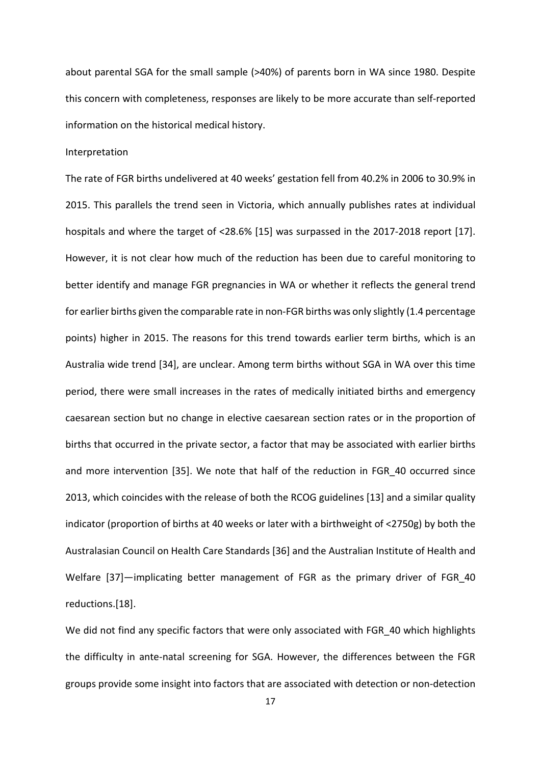about parental SGA for the small sample (>40%) of parents born in WA since 1980. Despite this concern with completeness, responses are likely to be more accurate than self-reported information on the historical medical history.

#### Interpretation

The rate of FGR births undelivered at 40 weeks' gestation fell from 40.2% in 2006 to 30.9% in 2015. This parallels the trend seen in Victoria, which annually publishes rates at individual hospitals and where the target of <28.6% [15] was surpassed in the 2017-2018 report [17]. However, it is not clear how much of the reduction has been due to careful monitoring to better identify and manage FGR pregnancies in WA or whether it reflects the general trend for earlier births given the comparable rate in non-FGR births was only slightly (1.4 percentage points) higher in 2015. The reasons for this trend towards earlier term births, which is an Australia wide trend [34], are unclear. Among term births without SGA in WA over this time period, there were small increases in the rates of medically initiated births and emergency caesarean section but no change in elective caesarean section rates or in the proportion of births that occurred in the private sector, a factor that may be associated with earlier births and more intervention [35]. We note that half of the reduction in FGR\_40 occurred since 2013, which coincides with the release of both the RCOG guidelines [13] and a similar quality indicator (proportion of births at 40 weeks or later with a birthweight of <2750g) by both the Australasian Council on Health Care Standards [36] and the Australian Institute of Health and Welfare [37]—implicating better management of FGR as the primary driver of FGR 40 reductions.[18].

We did not find any specific factors that were only associated with FGR\_40 which highlights the difficulty in ante-natal screening for SGA. However, the differences between the FGR groups provide some insight into factors that are associated with detection or non-detection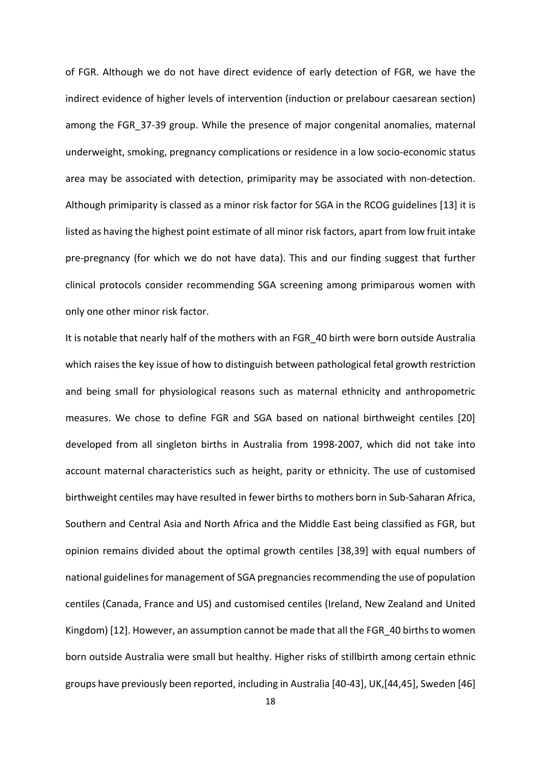of FGR. Although we do not have direct evidence of early detection of FGR, we have the indirect evidence of higher levels of intervention (induction or prelabour caesarean section) among the FGR\_37-39 group. While the presence of major congenital anomalies, maternal underweight, smoking, pregnancy complications or residence in a low socio-economic status area may be associated with detection, primiparity may be associated with non-detection. Although primiparity is classed as a minor risk factor for SGA in the RCOG guidelines [13] it is listed as having the highest point estimate of all minor risk factors, apart from low fruit intake pre-pregnancy (for which we do not have data). This and our finding suggest that further clinical protocols consider recommending SGA screening among primiparous women with only one other minor risk factor.

It is notable that nearly half of the mothers with an FGR\_40 birth were born outside Australia which raises the key issue of how to distinguish between pathological fetal growth restriction and being small for physiological reasons such as maternal ethnicity and anthropometric measures. We chose to define FGR and SGA based on national birthweight centiles [20] developed from all singleton births in Australia from 1998-2007, which did not take into account maternal characteristics such as height, parity or ethnicity. The use of customised birthweight centiles may have resulted in fewer births to mothers born in Sub-Saharan Africa, Southern and Central Asia and North Africa and the Middle East being classified as FGR, but opinion remains divided about the optimal growth centiles [38,39] with equal numbers of national guidelines for management of SGA pregnancies recommending the use of population centiles (Canada, France and US) and customised centiles (Ireland, New Zealand and United Kingdom) [12]. However, an assumption cannot be made that all the FGR\_40 births to women born outside Australia were small but healthy. Higher risks of stillbirth among certain ethnic groups have previously been reported, including in Australia [40-43], UK,[44,45], Sweden [46]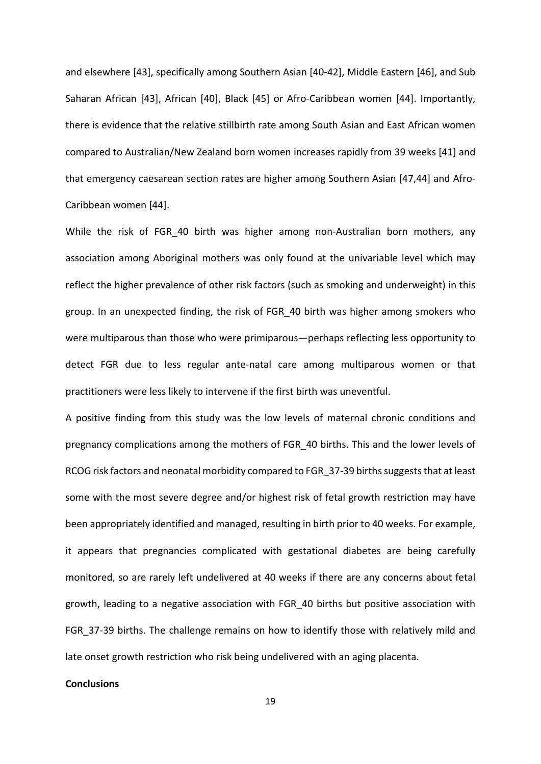and elsewhere [43], specifically among Southern Asian [40-42], Middle Eastern [46], and Sub Saharan African [43], African [40], Black [45] or Afro-Caribbean women [44]. Importantly, there is evidence that the relative stillbirth rate among South Asian and East African women compared to Australian/New Zealand born women increases rapidly from 39 weeks [41] and that emergency caesarean section rates are higher among Southern Asian [47,44] and Afro-Caribbean women [44].

While the risk of FGR\_40 birth was higher among non-Australian born mothers, any association among Aboriginal mothers was only found at the univariable level which may reflect the higher prevalence of other risk factors (such as smoking and underweight) in this group. In an unexpected finding, the risk of FGR\_40 birth was higher among smokers who were multiparous than those who were primiparous—perhaps reflecting less opportunity to detect FGR due to less regular ante-natal care among multiparous women or that practitioners were less likely to intervene if the first birth was uneventful.

A positive finding from this study was the low levels of maternal chronic conditions and pregnancy complications among the mothers of FGR\_40 births. This and the lower levels of RCOG risk factors and neonatal morbidity compared to FGR\_37-39 births suggests that at least some with the most severe degree and/or highest risk of fetal growth restriction may have been appropriately identified and managed, resulting in birth prior to 40 weeks. For example, it appears that pregnancies complicated with gestational diabetes are being carefully monitored, so are rarely left undelivered at 40 weeks if there are any concerns about fetal growth, leading to a negative association with FGR\_40 births but positive association with FGR\_37-39 births. The challenge remains on how to identify those with relatively mild and late onset growth restriction who risk being undelivered with an aging placenta.

### **Conclusions**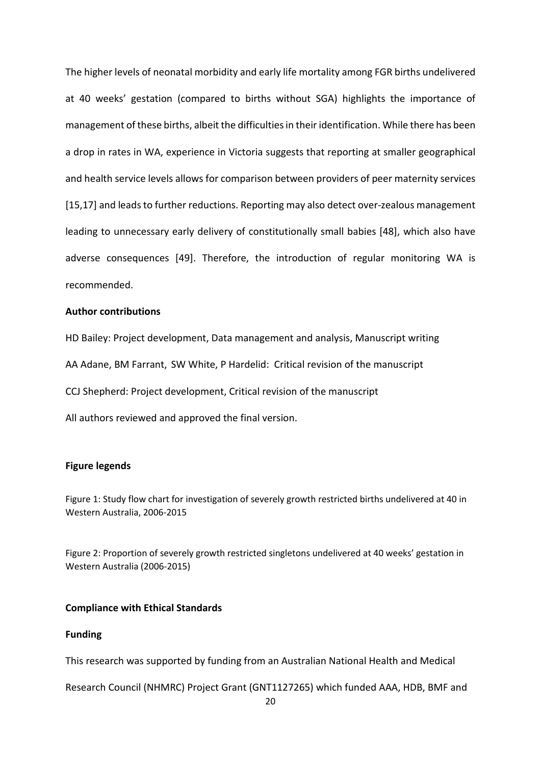The higher levels of neonatal morbidity and early life mortality among FGR births undelivered at 40 weeks' gestation (compared to births without SGA) highlights the importance of management of these births, albeit the difficulties in their identification. While there has been a drop in rates in WA, experience in Victoria suggests that reporting at smaller geographical and health service levels allows for comparison between providers of peer maternity services [15,17] and leads to further reductions. Reporting may also detect over-zealous management leading to unnecessary early delivery of constitutionally small babies [48], which also have adverse consequences [49]. Therefore, the introduction of regular monitoring WA is recommended.

## **Author contributions**

HD Bailey: Project development, Data management and analysis, Manuscript writing

AA Adane, BM Farrant, SW White, P Hardelid: Critical revision of the manuscript

CCJ Shepherd: Project development, Critical revision of the manuscript

All authors reviewed and approved the final version.

### **Figure legends**

Figure 1: Study flow chart for investigation of severely growth restricted births undelivered at 40 in Western Australia, 2006-2015

Figure 2: Proportion of severely growth restricted singletons undelivered at 40 weeks' gestation in Western Australia (2006-2015)

#### **Compliance with Ethical Standards**

## **Funding**

This research was supported by funding from an Australian National Health and Medical

Research Council (NHMRC) Project Grant (GNT1127265) which funded AAA, HDB, BMF and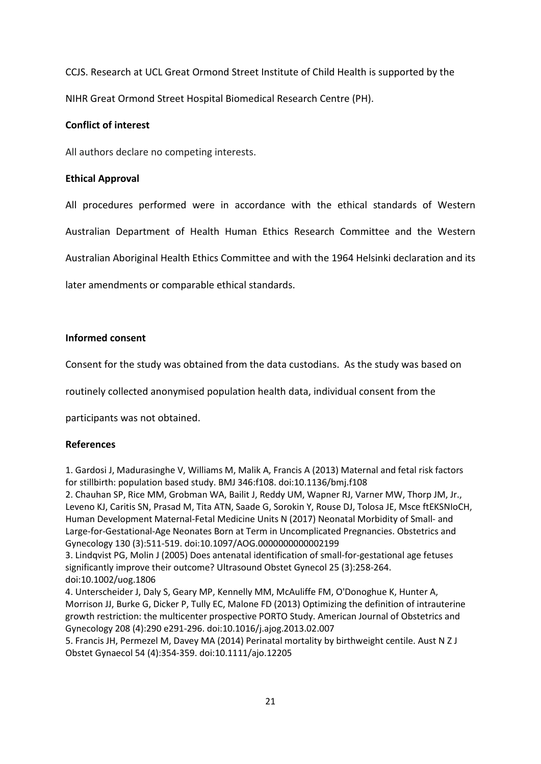CCJS. Research at UCL Great Ormond Street Institute of Child Health is supported by the NIHR Great Ormond Street Hospital Biomedical Research Centre (PH).

# **Conflict of interest**

All authors declare no competing interests.

# **Ethical Approval**

All procedures performed were in accordance with the ethical standards of Western Australian Department of Health Human Ethics Research Committee and the Western

Australian Aboriginal Health Ethics Committee and with the 1964 Helsinki declaration and its

later amendments or comparable ethical standards.

# **Informed consent**

Consent for the study was obtained from the data custodians. As the study was based on

routinely collected anonymised population health data, individual consent from the

participants was not obtained.

# **References**

1. Gardosi J, Madurasinghe V, Williams M, Malik A, Francis A (2013) Maternal and fetal risk factors for stillbirth: population based study. BMJ 346:f108. doi:10.1136/bmj.f108

2. Chauhan SP, Rice MM, Grobman WA, Bailit J, Reddy UM, Wapner RJ, Varner MW, Thorp JM, Jr., Leveno KJ, Caritis SN, Prasad M, Tita ATN, Saade G, Sorokin Y, Rouse DJ, Tolosa JE, Msce ftEKSNIoCH, Human Development Maternal-Fetal Medicine Units N (2017) Neonatal Morbidity of Small- and Large-for-Gestational-Age Neonates Born at Term in Uncomplicated Pregnancies. Obstetrics and Gynecology 130 (3):511-519. doi:10.1097/AOG.0000000000002199

3. Lindqvist PG, Molin J (2005) Does antenatal identification of small-for-gestational age fetuses significantly improve their outcome? Ultrasound Obstet Gynecol 25 (3):258-264. doi:10.1002/uog.1806

4. Unterscheider J, Daly S, Geary MP, Kennelly MM, McAuliffe FM, O'Donoghue K, Hunter A, Morrison JJ, Burke G, Dicker P, Tully EC, Malone FD (2013) Optimizing the definition of intrauterine growth restriction: the multicenter prospective PORTO Study. American Journal of Obstetrics and Gynecology 208 (4):290 e291-296. doi:10.1016/j.ajog.2013.02.007

5. Francis JH, Permezel M, Davey MA (2014) Perinatal mortality by birthweight centile. Aust N Z J Obstet Gynaecol 54 (4):354-359. doi:10.1111/ajo.12205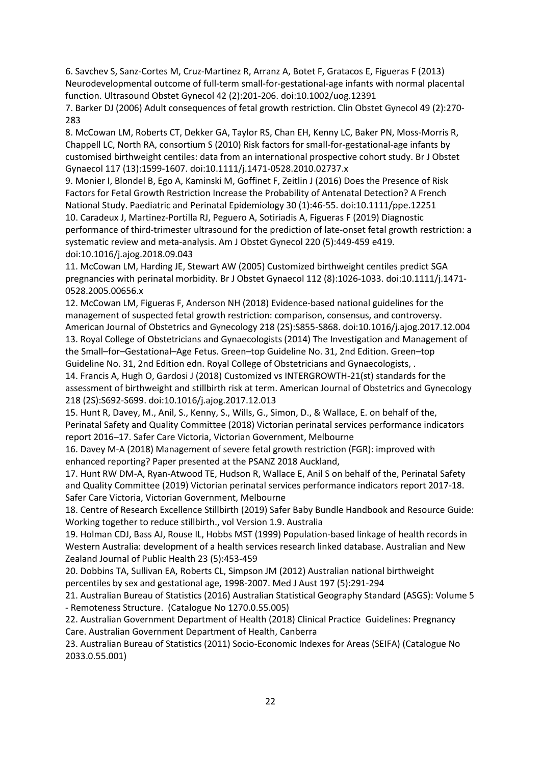6. Savchev S, Sanz-Cortes M, Cruz-Martinez R, Arranz A, Botet F, Gratacos E, Figueras F (2013) Neurodevelopmental outcome of full-term small-for-gestational-age infants with normal placental function. Ultrasound Obstet Gynecol 42 (2):201-206. doi:10.1002/uog.12391

7. Barker DJ (2006) Adult consequences of fetal growth restriction. Clin Obstet Gynecol 49 (2):270- 283

8. McCowan LM, Roberts CT, Dekker GA, Taylor RS, Chan EH, Kenny LC, Baker PN, Moss-Morris R, Chappell LC, North RA, consortium S (2010) Risk factors for small-for-gestational-age infants by customised birthweight centiles: data from an international prospective cohort study. Br J Obstet Gynaecol 117 (13):1599-1607. doi:10.1111/j.1471-0528.2010.02737.x

9. Monier I, Blondel B, Ego A, Kaminski M, Goffinet F, Zeitlin J (2016) Does the Presence of Risk Factors for Fetal Growth Restriction Increase the Probability of Antenatal Detection? A French National Study. Paediatric and Perinatal Epidemiology 30 (1):46-55. doi:10.1111/ppe.12251 10. Caradeux J, Martinez-Portilla RJ, Peguero A, Sotiriadis A, Figueras F (2019) Diagnostic performance of third-trimester ultrasound for the prediction of late-onset fetal growth restriction: a systematic review and meta-analysis. Am J Obstet Gynecol 220 (5):449-459 e419. doi:10.1016/j.ajog.2018.09.043

11. McCowan LM, Harding JE, Stewart AW (2005) Customized birthweight centiles predict SGA pregnancies with perinatal morbidity. Br J Obstet Gynaecol 112 (8):1026-1033. doi:10.1111/j.1471- 0528.2005.00656.x

12. McCowan LM, Figueras F, Anderson NH (2018) Evidence-based national guidelines for the management of suspected fetal growth restriction: comparison, consensus, and controversy. American Journal of Obstetrics and Gynecology 218 (2S):S855-S868. doi:10.1016/j.ajog.2017.12.004 13. Royal College of Obstetricians and Gynaecologists (2014) The Investigation and Management of the Small–for–Gestational–Age Fetus. Green–top Guideline No. 31, 2nd Edition. Green–top Guideline No. 31, 2nd Edition edn. Royal College of Obstetricians and Gynaecologists, .

14. Francis A, Hugh O, Gardosi J (2018) Customized vs INTERGROWTH-21(st) standards for the assessment of birthweight and stillbirth risk at term. American Journal of Obstetrics and Gynecology 218 (2S):S692-S699. doi:10.1016/j.ajog.2017.12.013

15. Hunt R, Davey, M., Anil, S., Kenny, S., Wills, G., Simon, D., & Wallace, E. on behalf of the, Perinatal Safety and Quality Committee (2018) Victorian perinatal services performance indicators report 2016–17. Safer Care Victoria, Victorian Government, Melbourne

16. Davey M-A (2018) Management of severe fetal growth restriction (FGR): improved with enhanced reporting? Paper presented at the PSANZ 2018 Auckland,

17. Hunt RW DM-A, Ryan-Atwood TE, Hudson R, Wallace E, Anil S on behalf of the, Perinatal Safety and Quality Committee (2019) Victorian perinatal services performance indicators report 2017-18. Safer Care Victoria, Victorian Government, Melbourne

18. Centre of Research Excellence Stillbirth (2019) Safer Baby Bundle Handbook and Resource Guide: Working together to reduce stillbirth., vol Version 1.9. Australia

19. Holman CDJ, Bass AJ, Rouse IL, Hobbs MST (1999) Population-based linkage of health records in Western Australia: development of a health services research linked database. Australian and New Zealand Journal of Public Health 23 (5):453-459

20. Dobbins TA, Sullivan EA, Roberts CL, Simpson JM (2012) Australian national birthweight percentiles by sex and gestational age, 1998-2007. Med J Aust 197 (5):291-294

21. Australian Bureau of Statistics (2016) Australian Statistical Geography Standard (ASGS): Volume 5 - Remoteness Structure. (Catalogue No 1270.0.55.005)

22. Australian Government Department of Health (2018) Clinical Practice Guidelines: Pregnancy Care. Australian Government Department of Health, Canberra

23. Australian Bureau of Statistics (2011) Socio-Economic Indexes for Areas (SEIFA) (Catalogue No 2033.0.55.001)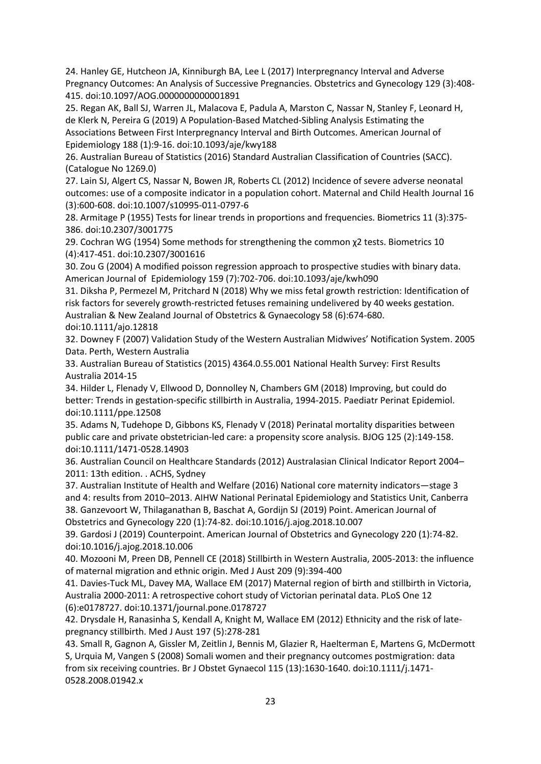24. Hanley GE, Hutcheon JA, Kinniburgh BA, Lee L (2017) Interpregnancy Interval and Adverse Pregnancy Outcomes: An Analysis of Successive Pregnancies. Obstetrics and Gynecology 129 (3):408- 415. doi:10.1097/AOG.0000000000001891

25. Regan AK, Ball SJ, Warren JL, Malacova E, Padula A, Marston C, Nassar N, Stanley F, Leonard H, de Klerk N, Pereira G (2019) A Population-Based Matched-Sibling Analysis Estimating the Associations Between First Interpregnancy Interval and Birth Outcomes. American Journal of Epidemiology 188 (1):9-16. doi:10.1093/aje/kwy188

26. Australian Bureau of Statistics (2016) Standard Australian Classification of Countries (SACC). (Catalogue No 1269.0)

27. Lain SJ, Algert CS, Nassar N, Bowen JR, Roberts CL (2012) Incidence of severe adverse neonatal outcomes: use of a composite indicator in a population cohort. Maternal and Child Health Journal 16 (3):600-608. doi:10.1007/s10995-011-0797-6

28. Armitage P (1955) Tests for linear trends in proportions and frequencies. Biometrics 11 (3):375- 386. doi:10.2307/3001775

29. Cochran WG (1954) Some methods for strengthening the common χ2 tests. Biometrics 10 (4):417-451. doi:10.2307/3001616

30. Zou G (2004) A modified poisson regression approach to prospective studies with binary data. American Journal of Epidemiology 159 (7):702-706. doi:10.1093/aje/kwh090

31. Diksha P, Permezel M, Pritchard N (2018) Why we miss fetal growth restriction: Identification of risk factors for severely growth-restricted fetuses remaining undelivered by 40 weeks gestation. Australian & New Zealand Journal of Obstetrics & Gynaecology 58 (6):674-680.

doi:10.1111/ajo.12818

32. Downey F (2007) Validation Study of the Western Australian Midwives' Notification System. 2005 Data. Perth, Western Australia

33. Australian Bureau of Statistics (2015) 4364.0.55.001 National Health Survey: First Results Australia 2014-15

34. Hilder L, Flenady V, Ellwood D, Donnolley N, Chambers GM (2018) Improving, but could do better: Trends in gestation-specific stillbirth in Australia, 1994-2015. Paediatr Perinat Epidemiol. doi:10.1111/ppe.12508

35. Adams N, Tudehope D, Gibbons KS, Flenady V (2018) Perinatal mortality disparities between public care and private obstetrician-led care: a propensity score analysis. BJOG 125 (2):149-158. doi:10.1111/1471-0528.14903

36. Australian Council on Healthcare Standards (2012) Australasian Clinical Indicator Report 2004– 2011: 13th edition. . ACHS, Sydney

37. Australian Institute of Health and Welfare (2016) National core maternity indicators—stage 3 and 4: results from 2010–2013. AIHW National Perinatal Epidemiology and Statistics Unit, Canberra 38. Ganzevoort W, Thilaganathan B, Baschat A, Gordijn SJ (2019) Point. American Journal of Obstetrics and Gynecology 220 (1):74-82. doi:10.1016/j.ajog.2018.10.007

39. Gardosi J (2019) Counterpoint. American Journal of Obstetrics and Gynecology 220 (1):74-82. doi:10.1016/j.ajog.2018.10.006

40. Mozooni M, Preen DB, Pennell CE (2018) Stillbirth in Western Australia, 2005-2013: the influence of maternal migration and ethnic origin. Med J Aust 209 (9):394-400

41. Davies-Tuck ML, Davey MA, Wallace EM (2017) Maternal region of birth and stillbirth in Victoria, Australia 2000-2011: A retrospective cohort study of Victorian perinatal data. PLoS One 12 (6):e0178727. doi:10.1371/journal.pone.0178727

42. Drysdale H, Ranasinha S, Kendall A, Knight M, Wallace EM (2012) Ethnicity and the risk of latepregnancy stillbirth. Med J Aust 197 (5):278-281

43. Small R, Gagnon A, Gissler M, Zeitlin J, Bennis M, Glazier R, Haelterman E, Martens G, McDermott S, Urquia M, Vangen S (2008) Somali women and their pregnancy outcomes postmigration: data from six receiving countries. Br J Obstet Gynaecol 115 (13):1630-1640. doi:10.1111/j.1471- 0528.2008.01942.x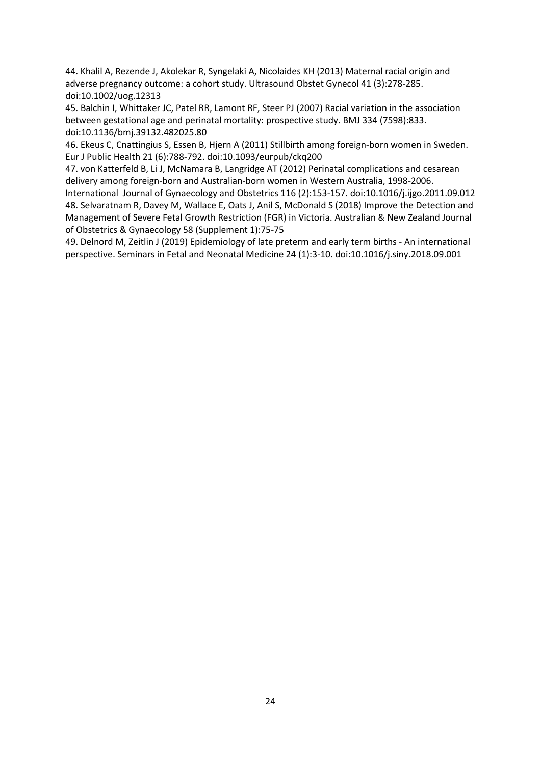44. Khalil A, Rezende J, Akolekar R, Syngelaki A, Nicolaides KH (2013) Maternal racial origin and adverse pregnancy outcome: a cohort study. Ultrasound Obstet Gynecol 41 (3):278-285. doi:10.1002/uog.12313

45. Balchin I, Whittaker JC, Patel RR, Lamont RF, Steer PJ (2007) Racial variation in the association between gestational age and perinatal mortality: prospective study. BMJ 334 (7598):833. doi:10.1136/bmj.39132.482025.80

46. Ekeus C, Cnattingius S, Essen B, Hjern A (2011) Stillbirth among foreign-born women in Sweden. Eur J Public Health 21 (6):788-792. doi:10.1093/eurpub/ckq200

47. von Katterfeld B, Li J, McNamara B, Langridge AT (2012) Perinatal complications and cesarean delivery among foreign-born and Australian-born women in Western Australia, 1998-2006.

International Journal of Gynaecology and Obstetrics 116 (2):153-157. doi:10.1016/j.ijgo.2011.09.012 48. Selvaratnam R, Davey M, Wallace E, Oats J, Anil S, McDonald S (2018) Improve the Detection and Management of Severe Fetal Growth Restriction (FGR) in Victoria. Australian & New Zealand Journal of Obstetrics & Gynaecology 58 (Supplement 1):75-75

49. Delnord M, Zeitlin J (2019) Epidemiology of late preterm and early term births - An international perspective. Seminars in Fetal and Neonatal Medicine 24 (1):3-10. doi:10.1016/j.siny.2018.09.001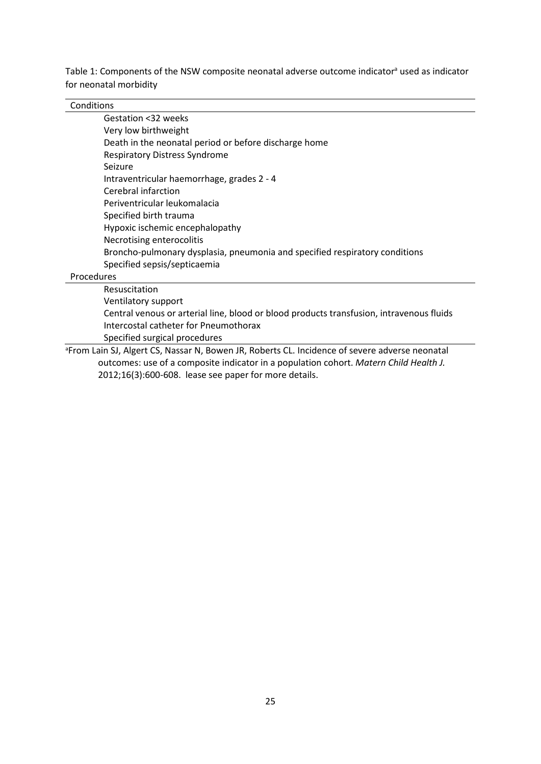Table 1: Components of the NSW composite neonatal adverse outcome indicator<sup>a</sup> used as indicator for neonatal morbidity

## **Conditions**

| Gestation <32 weeks                                                         |
|-----------------------------------------------------------------------------|
| Very low birthweight                                                        |
| Death in the neonatal period or before discharge home                       |
| <b>Respiratory Distress Syndrome</b>                                        |
| Seizure                                                                     |
| Intraventricular haemorrhage, grades 2 - 4                                  |
| Cerebral infarction                                                         |
| Periventricular leukomalacia                                                |
| Specified birth trauma                                                      |
| Hypoxic ischemic encephalopathy                                             |
| Necrotising enterocolitis                                                   |
| Broncho-pulmonary dysplasia, pneumonia and specified respiratory conditions |
| Specified sepsis/septicaemia                                                |
| Procedures                                                                  |
| Resuscitation                                                               |

Ventilatory support Central venous or arterial line, blood or blood products transfusion, intravenous fluids Intercostal catheter for Pneumothorax

Specified surgical procedures<br>
From Lain SJ, Algert CS, Nassar N, Bowen JR, Roberts CL. Incidence of severe adverse neonatal<br> outcomes: use of a composite indicator in a population cohort. *Matern Child Health J.*  2012;16(3):600-608. lease see paper for more details.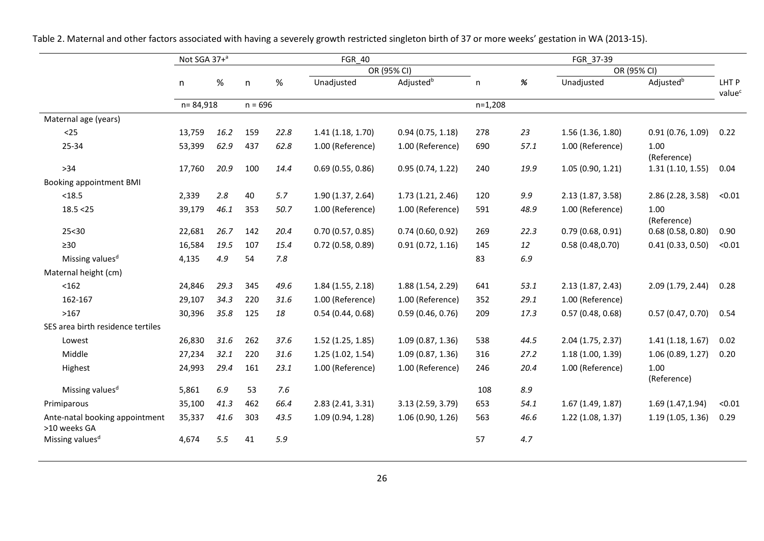|                                                | Not SGA 37+ <sup>a</sup> |      |           |      | <b>FGR 40</b>       |                       | FGR 37-39    |      |                   |                       |                             |  |  |
|------------------------------------------------|--------------------------|------|-----------|------|---------------------|-----------------------|--------------|------|-------------------|-----------------------|-----------------------------|--|--|
|                                                |                          |      |           |      |                     | OR (95% CI)           |              |      |                   | OR (95% CI)           |                             |  |  |
|                                                | n                        | $\%$ | n         | $\%$ | Unadjusted          | Adjusted <sup>b</sup> | $\mathsf{n}$ | $\%$ | Unadjusted        | Adjusted <sup>b</sup> | LHT P<br>value <sup>c</sup> |  |  |
|                                                | n=84,918                 |      | $n = 696$ |      |                     |                       | $n=1,208$    |      |                   |                       |                             |  |  |
| Maternal age (years)                           |                          |      |           |      |                     |                       |              |      |                   |                       |                             |  |  |
| $25$                                           | 13,759                   | 16.2 | 159       | 22.8 | 1.41(1.18, 1.70)    | 0.94(0.75, 1.18)      | 278          | 23   | 1.56(1.36, 1.80)  | 0.91(0.76, 1.09)      | 0.22                        |  |  |
| 25-34                                          | 53,399                   | 62.9 | 437       | 62.8 | 1.00 (Reference)    | 1.00 (Reference)      | 690          | 57.1 | 1.00 (Reference)  | 1.00<br>(Reference)   |                             |  |  |
| $>34$                                          | 17,760                   | 20.9 | 100       | 14.4 | 0.69(0.55, 0.86)    | 0.95(0.74, 1.22)      | 240          | 19.9 | 1.05(0.90, 1.21)  | 1.31(1.10, 1.55)      | 0.04                        |  |  |
| Booking appointment BMI                        |                          |      |           |      |                     |                       |              |      |                   |                       |                             |  |  |
| < 18.5                                         | 2,339                    | 2.8  | 40        | 5.7  | 1.90(1.37, 2.64)    | 1.73(1.21, 2.46)      | 120          | 9.9  | 2.13(1.87, 3.58)  | 2.86 (2.28, 3.58)     | < 0.01                      |  |  |
| 18.5 < 25                                      | 39,179                   | 46.1 | 353       | 50.7 | 1.00 (Reference)    | 1.00 (Reference)      | 591          | 48.9 | 1.00 (Reference)  | 1.00<br>(Reference)   |                             |  |  |
| 25 < 30                                        | 22,681                   | 26.7 | 142       | 20.4 | 0.70(0.57, 0.85)    | 0.74(0.60, 0.92)      | 269          | 22.3 | 0.79(0.68, 0.91)  | 0.68(0.58, 0.80)      | 0.90                        |  |  |
| $\geq 30$                                      | 16,584                   | 19.5 | 107       | 15.4 | $0.72$ (0.58, 0.89) | 0.91(0.72, 1.16)      | 145          | 12   | 0.58(0.48, 0.70)  | 0.41(0.33, 0.50)      | < 0.01                      |  |  |
| Missing values <sup>d</sup>                    | 4,135                    | 4.9  | 54        | 7.8  |                     |                       | 83           | 6.9  |                   |                       |                             |  |  |
| Maternal height (cm)                           |                          |      |           |      |                     |                       |              |      |                   |                       |                             |  |  |
| < 162                                          | 24,846                   | 29.3 | 345       | 49.6 | 1.84(1.55, 2.18)    | 1.88 (1.54, 2.29)     | 641          | 53.1 | 2.13(1.87, 2.43)  | 2.09(1.79, 2.44)      | 0.28                        |  |  |
| 162-167                                        | 29,107                   | 34.3 | 220       | 31.6 | 1.00 (Reference)    | 1.00 (Reference)      | 352          | 29.1 | 1.00 (Reference)  |                       |                             |  |  |
| >167                                           | 30,396                   | 35.8 | 125       | 18   | 0.54(0.44, 0.68)    | 0.59(0.46, 0.76)      | 209          | 17.3 | 0.57(0.48, 0.68)  | 0.57(0.47, 0.70)      | 0.54                        |  |  |
| SES area birth residence tertiles              |                          |      |           |      |                     |                       |              |      |                   |                       |                             |  |  |
| Lowest                                         | 26,830                   | 31.6 | 262       | 37.6 | $1.52$ (1.25, 1.85) | 1.09(0.87, 1.36)      | 538          | 44.5 | 2.04 (1.75, 2.37) | 1.41(1.18, 1.67)      | 0.02                        |  |  |
| Middle                                         | 27,234                   | 32.1 | 220       | 31.6 | 1.25(1.02, 1.54)    | 1.09(0.87, 1.36)      | 316          | 27.2 | 1.18(1.00, 1.39)  | 1.06(0.89, 1.27)      | 0.20                        |  |  |
| Highest                                        | 24,993                   | 29.4 | 161       | 23.1 | 1.00 (Reference)    | 1.00 (Reference)      | 246          | 20.4 | 1.00 (Reference)  | 1.00<br>(Reference)   |                             |  |  |
| Missing values <sup>d</sup>                    | 5,861                    | 6.9  | 53        | 7.6  |                     |                       | 108          | 8.9  |                   |                       |                             |  |  |
| Primiparous                                    | 35,100                   | 41.3 | 462       | 66.4 | 2.83(2.41, 3.31)    | 3.13 (2.59, 3.79)     | 653          | 54.1 | 1.67(1.49, 1.87)  | 1.69(1.47, 1.94)      | < 0.01                      |  |  |
| Ante-natal booking appointment<br>>10 weeks GA | 35,337                   | 41.6 | 303       | 43.5 | 1.09 (0.94, 1.28)   | 1.06(0.90, 1.26)      | 563          | 46.6 | 1.22(1.08, 1.37)  | 1.19(1.05, 1.36)      | 0.29                        |  |  |
| Missing values <sup>d</sup>                    | 4,674                    | 5.5  | 41        | 5.9  |                     |                       | 57           | 4.7  |                   |                       |                             |  |  |

Table 2. Maternal and other factors associated with having a severely growth restricted singleton birth of 37 or more weeks' gestation in WA (2013-15).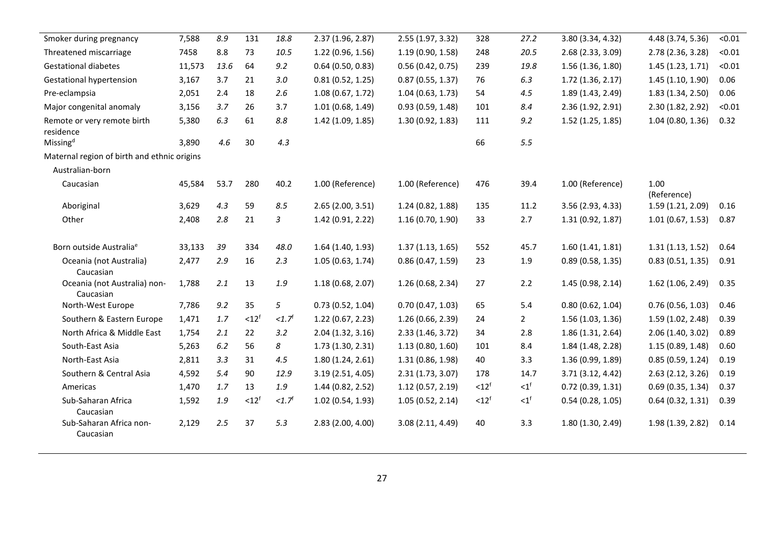| Smoker during pregnancy                     | 7,588  | 8.9  | 131               | 18.8                | 2.37 (1.96, 2.87) | 2.55 (1.97, 3.32) | 328               | 27.2           | 3.80 (3.34, 4.32)   | 4.48 (3.74, 5.36)   | < 0.01 |
|---------------------------------------------|--------|------|-------------------|---------------------|-------------------|-------------------|-------------------|----------------|---------------------|---------------------|--------|
| Threatened miscarriage                      | 7458   | 8.8  | 73                | 10.5                | 1.22 (0.96, 1.56) | 1.19 (0.90, 1.58) | 248               | 20.5           | 2.68 (2.33, 3.09)   | 2.78 (2.36, 3.28)   | < 0.01 |
| <b>Gestational diabetes</b>                 | 11,573 | 13.6 | 64                | 9.2                 | 0.64(0.50, 0.83)  | 0.56(0.42, 0.75)  | 239               | 19.8           | 1.56(1.36, 1.80)    | 1.45(1.23, 1.71)    | < 0.01 |
| <b>Gestational hypertension</b>             | 3,167  | 3.7  | 21                | 3.0                 | 0.81(0.52, 1.25)  | 0.87(0.55, 1.37)  | 76                | 6.3            | 1.72(1.36, 2.17)    | 1.45(1.10, 1.90)    | 0.06   |
| Pre-eclampsia                               | 2,051  | 2.4  | 18                | 2.6                 | 1.08(0.67, 1.72)  | 1.04(0.63, 1.73)  | 54                | 4.5            | 1.89 (1.43, 2.49)   | 1.83 (1.34, 2.50)   | 0.06   |
| Major congenital anomaly                    | 3,156  | 3.7  | 26                | 3.7                 | 1.01(0.68, 1.49)  | 0.93(0.59, 1.48)  | 101               | 8.4            | 2.36 (1.92, 2.91)   | 2.30 (1.82, 2.92)   | < 0.01 |
| Remote or very remote birth<br>residence    | 5,380  | 6.3  | 61                | 8.8                 | 1.42 (1.09, 1.85) | 1.30 (0.92, 1.83) | 111               | 9.2            | $1.52$ (1.25, 1.85) | 1.04(0.80, 1.36)    | 0.32   |
| Missing <sup>d</sup>                        | 3,890  | 4.6  | 30                | 4.3                 |                   |                   | 66                | 5.5            |                     |                     |        |
| Maternal region of birth and ethnic origins |        |      |                   |                     |                   |                   |                   |                |                     |                     |        |
| Australian-born                             |        |      |                   |                     |                   |                   |                   |                |                     |                     |        |
| Caucasian                                   | 45,584 | 53.7 | 280               | 40.2                | 1.00 (Reference)  | 1.00 (Reference)  | 476               | 39.4           | 1.00 (Reference)    | 1.00<br>(Reference) |        |
| Aboriginal                                  | 3,629  | 4.3  | 59                | 8.5                 | 2.65(2.00, 3.51)  | 1.24 (0.82, 1.88) | 135               | 11.2           | 3.56 (2.93, 4.33)   | 1.59(1.21, 2.09)    | 0.16   |
| Other                                       | 2,408  | 2.8  | 21                | 3                   | 1.42 (0.91, 2.22) | 1.16 (0.70, 1.90) | 33                | 2.7            | 1.31 (0.92, 1.87)   | 1.01(0.67, 1.53)    | 0.87   |
| Born outside Australia <sup>e</sup>         | 33,133 | 39   | 334               | 48.0                | 1.64(1.40, 1.93)  | 1.37(1.13, 1.65)  | 552               | 45.7           | 1.60(1.41, 1.81)    | 1.31(1.13, 1.52)    | 0.64   |
| Oceania (not Australia)<br>Caucasian        | 2,477  | 2.9  | 16                | 2.3                 | 1.05(0.63, 1.74)  | 0.86(0.47, 1.59)  | 23                | 1.9            | 0.89(0.58, 1.35)    | 0.83(0.51, 1.35)    | 0.91   |
| Oceania (not Australia) non-<br>Caucasian   | 1,788  | 2.1  | 13                | 1.9                 | 1.18(0.68, 2.07)  | 1.26 (0.68, 2.34) | 27                | 2.2            | 1.45(0.98, 2.14)    | 1.62 (1.06, 2.49)   | 0.35   |
| North-West Europe                           | 7,786  | 9.2  | 35                | 5                   | 0.73(0.52, 1.04)  | 0.70(0.47, 1.03)  | 65                | 5.4            | 0.80(0.62, 1.04)    | 0.76(0.56, 1.03)    | 0.46   |
| Southern & Eastern Europe                   | 1,471  | 1.7  | < 12 <sup>f</sup> | <1.7 <sup>f</sup>   | 1.22(0.67, 2.23)  | 1.26 (0.66, 2.39) | 24                | $\overline{2}$ | 1.56(1.03, 1.36)    | 1.59 (1.02, 2.48)   | 0.39   |
| North Africa & Middle East                  | 1,754  | 2.1  | 22                | 3.2                 | 2.04(1.32, 3.16)  | 2.33 (1.46, 3.72) | 34                | 2.8            | 1.86(1.31, 2.64)    | 2.06 (1.40, 3.02)   | 0.89   |
| South-East Asia                             | 5,263  | 6.2  | 56                | 8                   | 1.73(1.30, 2.31)  | 1.13(0.80, 1.60)  | 101               | 8.4            | 1.84 (1.48, 2.28)   | 1.15(0.89, 1.48)    | 0.60   |
| North-East Asia                             | 2,811  | 3.3  | 31                | 4.5                 | 1.80(1.24, 2.61)  | 1.31 (0.86, 1.98) | 40                | 3.3            | 1.36 (0.99, 1.89)   | 0.85(0.59, 1.24)    | 0.19   |
| Southern & Central Asia                     | 4,592  | 5.4  | 90                | 12.9                | 3.19(2.51, 4.05)  | 2.31(1.73, 3.07)  | 178               | 14.7           | 3.71 (3.12, 4.42)   | 2.63(2.12, 3.26)    | 0.19   |
| Americas                                    | 1,470  | 1.7  | 13                | 1.9                 | 1.44 (0.82, 2.52) | 1.12(0.57, 2.19)  | < 12 <sup>f</sup> | $\leq 1^f$     | 0.72(0.39, 1.31)    | 0.69(0.35, 1.34)    | 0.37   |
| Sub-Saharan Africa<br>Caucasian             | 1,592  | 1.9  | < 12 <sup>f</sup> | $<1.7$ <sup>f</sup> | 1.02(0.54, 1.93)  | 1.05(0.52, 2.14)  | < 12 <sup>f</sup> | $\leq 1^f$     | 0.54(0.28, 1.05)    | 0.64(0.32, 1.31)    | 0.39   |
| Sub-Saharan Africa non-<br>Caucasian        | 2,129  | 2.5  | 37                | 5.3                 | 2.83(2.00, 4.00)  | 3.08 (2.11, 4.49) | 40                | 3.3            | 1.80(1.30, 2.49)    | 1.98 (1.39, 2.82)   | 0.14   |
|                                             |        |      |                   |                     |                   |                   |                   |                |                     |                     |        |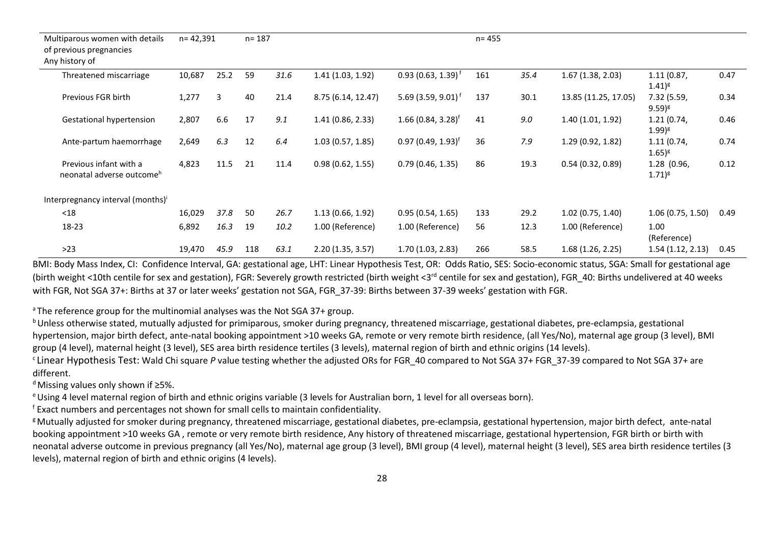| Multiparous women with details<br>of previous pregnancies<br>Any history of | $n = 42,391$ |      | $n = 187$ |      |                    |                                | $n = 455$ |      |                      |                            |      |
|-----------------------------------------------------------------------------|--------------|------|-----------|------|--------------------|--------------------------------|-----------|------|----------------------|----------------------------|------|
| Threatened miscarriage                                                      | 10,687       | 25.2 | 59        | 31.6 | 1.41(1.03, 1.92)   | $0.93(0.63, 1.39)^{f}$         | 161       | 35.4 | 1.67(1.38, 2.03)     | 1.11(0.87,<br>$(1.41)^{g}$ | 0.47 |
| Previous FGR birth                                                          | 1,277        | 3    | 40        | 21.4 | 8.75 (6.14, 12.47) | 5.69 (3.59, 9.01) <sup>f</sup> | 137       | 30.1 | 13.85 (11.25, 17.05) | 7.32 (5.59,<br>$9.59)^{g}$ | 0.34 |
| <b>Gestational hypertension</b>                                             | 2,807        | 6.6  | 17        | 9.1  | 1.41(0.86, 2.33)   | $1.66(0.84, 3.28)^f$           | 41        | 9.0  | 1.40 (1.01, 1.92)    | 1.21(0.74,<br>$(1.99)^g$   | 0.46 |
| Ante-partum haemorrhage                                                     | 2,649        | 6.3  | 12        | 6.4  | 1.03(0.57, 1.85)   | $0.97(0.49, 1.93)^f$           | 36        | 7.9  | 1.29(0.92, 1.82)     | 1.11(0.74,<br>$(1.65)^{g}$ | 0.74 |
| Previous infant with a<br>neonatal adverse outcome <sup>h</sup>             | 4,823        | 11.5 | 21        | 11.4 | 0.98(0.62, 1.55)   | 0.79(0.46, 1.35)               | 86        | 19.3 | 0.54(0.32, 0.89)     | 1.28 (0.96,<br>$1.71)^{g}$ | 0.12 |
| Interpregnancy interval (months)'                                           |              |      |           |      |                    |                                |           |      |                      |                            |      |
| $18$                                                                        | 16,029       | 37.8 | 50        | 26.7 | 1.13(0.66, 1.92)   | 0.95(0.54, 1.65)               | 133       | 29.2 | $1.02$ (0.75, 1.40)  | 1.06(0.75, 1.50)           | 0.49 |
| 18-23                                                                       | 6,892        | 16.3 | 19        | 10.2 | 1.00 (Reference)   | 1.00 (Reference)               | 56        | 12.3 | 1.00 (Reference)     | 1.00<br>(Reference)        |      |
| $>23$                                                                       | 19,470       | 45.9 | 118       | 63.1 | 2.20(1.35, 3.57)   | 1.70(1.03, 2.83)               | 266       | 58.5 | 1.68(1.26, 2.25)     | 1.54(1.12, 2.13)           | 0.45 |

BMI: Body Mass Index, CI: Confidence Interval, GA: gestational age, LHT: Linear Hypothesis Test, OR: Odds Ratio, SES: Socio-economic status, SGA: Small for gestational age (birth weight <10th centile for sex and gestation), FGR: Severely growth restricted (birth weight <3<sup>rd</sup> centile for sex and gestation), FGR\_40: Births undelivered at 40 weeks with FGR, Not SGA 37+: Births at 37 or later weeks' gestation not SGA, FGR\_37-39: Births between 37-39 weeks' gestation with FGR.

 $a$ <sup>n</sup> The reference group for the multinomial analyses was the Not SGA 37+ group.

**b** Unless otherwise stated, mutually adjusted for primiparous, smoker during pregnancy, threatened miscarriage, gestational diabetes, pre-eclampsia, gestational hypertension, major birth defect, ante-natal booking appointment >10 weeks GA, remote or very remote birth residence, (all Yes/No), maternal age group (3 level), BMI group (4 level), maternal height (3 level), SES area birth residence tertiles (3 levels), maternal region of birth and ethnic origins (14 levels).

<sup>c</sup> Linear Hypothesis Test: Wald Chi square P value testing whether the adjusted ORs for FGR\_40 compared to Not SGA 37+ FGR\_37-39 compared to Not SGA 37+ are different.

<sup>d</sup> Missing values only shown if ≥5%.

<sup>e</sup> Using 4 level maternal region of birth and ethnic origins variable (3 levels for Australian born, 1 level for all overseas born).

<sup>f</sup> Exact numbers and percentages not shown for small cells to maintain confidentiality.

<sup>g</sup> Mutually adjusted for smoker during pregnancy, threatened miscarriage, gestational diabetes, pre-eclampsia, gestational hypertension, major birth defect, ante-natal booking appointment >10 weeks GA , remote or very remote birth residence, Any history of threatened miscarriage, gestational hypertension, FGR birth or birth with neonatal adverse outcome in previous pregnancy (all Yes/No), maternal age group (3 level), BMI group (4 level), maternal height (3 level), SES area birth residence tertiles (3 <a> levels), maternal region of birth and ethnic origins (4 levels).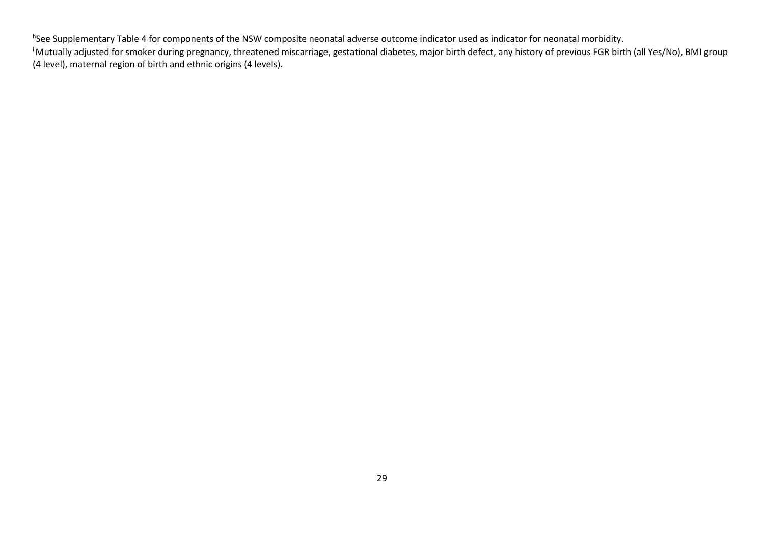h See Supplementary Table 4 for components of the NSW composite neonatal adverse outcome indicator used as indicator for neonatal morbidity.

i Mutually adjusted for smoker during pregnancy, threatened miscarriage, gestational diabetes, major birth defect, any history of previous FGR birth (all Yes/No), BMI group (4 level), maternal region of birth and ethnic origins (4 levels).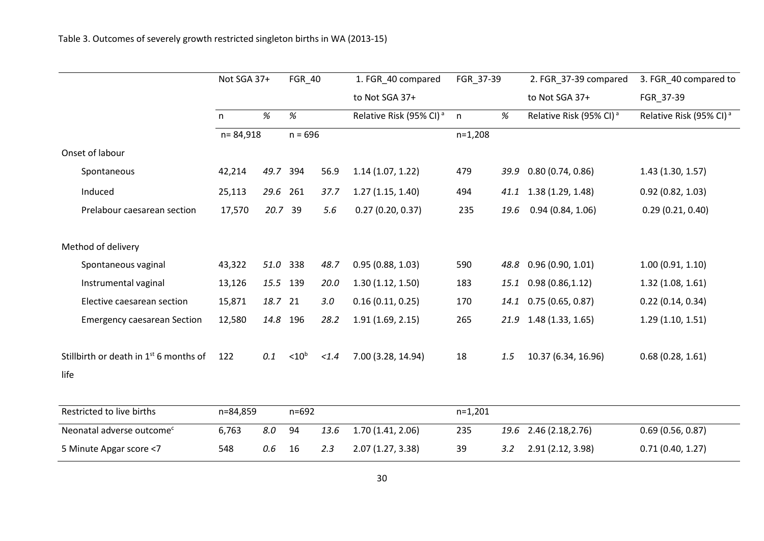|                                                            | Not SGA 37+ |         | FGR_40            |       | 1. FGR_40 compared                  | FGR_37-39 |      | 2. FGR_37-39 compared               | 3. FGR_40 compared to               |  |
|------------------------------------------------------------|-------------|---------|-------------------|-------|-------------------------------------|-----------|------|-------------------------------------|-------------------------------------|--|
|                                                            |             |         |                   |       | to Not SGA 37+                      |           |      | to Not SGA 37+                      | FGR_37-39                           |  |
|                                                            | n           | %       | $\%$              |       | Relative Risk (95% CI) <sup>a</sup> | n         | %    | Relative Risk (95% CI) <sup>a</sup> | Relative Risk (95% CI) <sup>a</sup> |  |
|                                                            | n=84,918    |         | $n = 696$         |       |                                     | $n=1,208$ |      |                                     |                                     |  |
| Onset of labour                                            |             |         |                   |       |                                     |           |      |                                     |                                     |  |
| Spontaneous                                                | 42,214      | 49.7    | 394               | 56.9  | 1.14(1.07, 1.22)                    | 479       |      | 39.9 0.80 (0.74, 0.86)              | 1.43(1.30, 1.57)                    |  |
| Induced                                                    | 25,113      | 29.6    | 261               | 37.7  | 1.27(1.15, 1.40)                    | 494       |      | 41.1 1.38 (1.29, 1.48)              | 0.92(0.82, 1.03)                    |  |
| Prelabour caesarean section                                | 17,570      | 20.7 39 |                   | 5.6   | 0.27(0.20, 0.37)                    | 235       | 19.6 | 0.94(0.84, 1.06)                    | 0.29(0.21, 0.40)                    |  |
| Method of delivery                                         |             |         |                   |       |                                     |           |      |                                     |                                     |  |
| Spontaneous vaginal                                        | 43,322      | 51.0    | 338               | 48.7  | 0.95(0.88, 1.03)                    | 590       |      | 48.8 0.96 (0.90, 1.01)              | 1.00(0.91, 1.10)                    |  |
| Instrumental vaginal                                       | 13,126      | 15.5    | 139               | 20.0  | 1.30(1.12, 1.50)                    | 183       | 15.1 | 0.98(0.86, 1.12)                    | 1.32(1.08, 1.61)                    |  |
| Elective caesarean section                                 | 15,871      | 18.7 21 |                   | 3.0   | 0.16(0.11, 0.25)                    | 170       | 14.1 | 0.75(0.65, 0.87)                    | 0.22(0.14, 0.34)                    |  |
| <b>Emergency caesarean Section</b>                         | 12,580      | 14.8    | 196               | 28.2  | 1.91(1.69, 2.15)                    | 265       |      | 21.9 1.48 (1.33, 1.65)              | 1.29(1.10, 1.51)                    |  |
| Stillbirth or death in 1 <sup>st</sup> 6 months of<br>life | 122         | 0.1     | < 10 <sup>b</sup> | < 1.4 | 7.00 (3.28, 14.94)                  | 18        | 1.5  | 10.37 (6.34, 16.96)                 | 0.68(0.28, 1.61)                    |  |
| Restricted to live births                                  | n=84,859    |         | $n = 692$         |       |                                     | $n=1,201$ |      |                                     |                                     |  |
| Neonatal adverse outcome <sup>c</sup>                      | 6,763       | 8.0     | 94                | 13.6  | 1.70(1.41, 2.06)                    | 235       |      | 19.6 2.46 (2.18, 2.76)              | 0.69(0.56, 0.87)                    |  |
| 5 Minute Apgar score <7                                    | 548         | 0.6     | 16                | 2.3   | 2.07 (1.27, 3.38)                   | 39        | 3.2  | 2.91 (2.12, 3.98)                   | 0.71(0.40, 1.27)                    |  |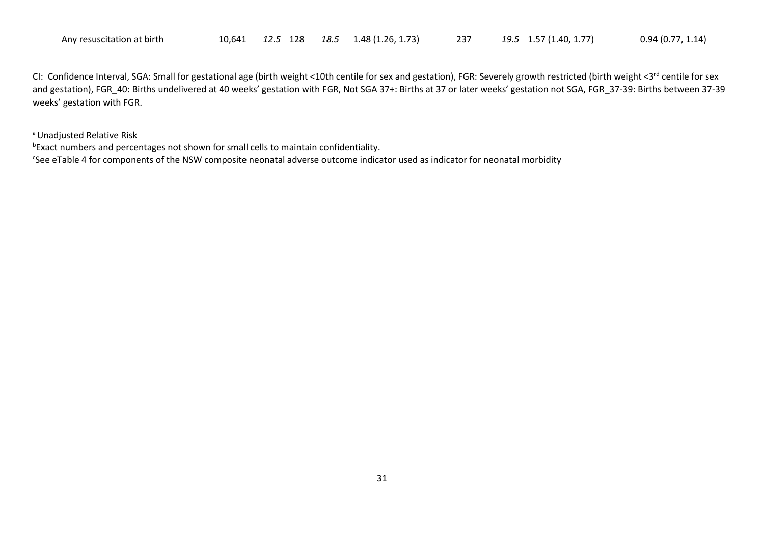| Any resuscitation at birth | 10.641 | 128<br>12.L | 18.5 | 1.73<br>$26.$ $^{\circ}$<br>.48 ( | 237 | (1.40, 1.77)<br>، 10<br>∸~∙ | 94(0.<br>$1.14$ <sup>1</sup><br>◡.◡ |
|----------------------------|--------|-------------|------|-----------------------------------|-----|-----------------------------|-------------------------------------|
|----------------------------|--------|-------------|------|-----------------------------------|-----|-----------------------------|-------------------------------------|

CI: Confidence Interval, SGA: Small for gestational age (birth weight <10th centile for sex and gestation), FGR: Severely growth restricted (birth weight <3<sup>rd</sup> centile for sex and gestation), FGR 40: Births undelivered at 40 weeks' gestation with FGR, Not SGA 37+: Births at 37 or later weeks' gestation not SGA, FGR 37-39: Births between 37-39 weeks' gestation with FGR.

<sup>a</sup> Unadjusted Relative Risk

b Exact numbers and percentages not shown for small cells to maintain confidentiality.

<sup>c</sup>See eTable 4 for components of the NSW composite neonatal adverse outcome indicator used as indicator for neonatal morbidity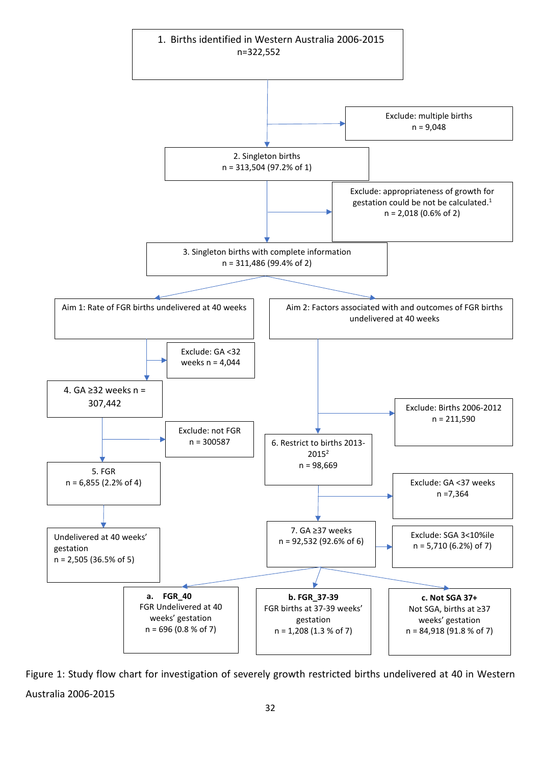

Figure 1: Study flow chart for investigation of severely growth restricted births undelivered at 40 in Western Australia 2006-2015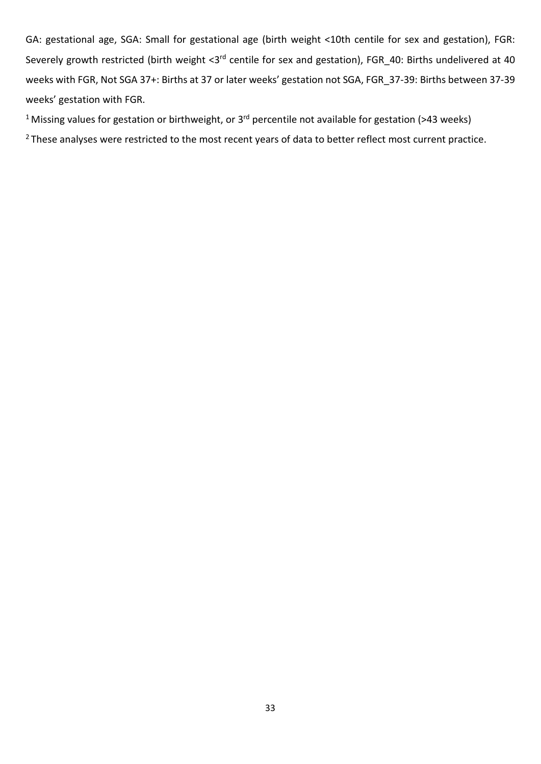GA: gestational age, SGA: Small for gestational age (birth weight <10th centile for sex and gestation), FGR: Severely growth restricted (birth weight <3rd centile for sex and gestation), FGR\_40: Births undelivered at 40 weeks with FGR, Not SGA 37+: Births at 37 or later weeks' gestation not SGA, FGR\_37-39: Births between 37-39 weeks' gestation with FGR.

<sup>1</sup> Missing values for gestation or birthweight, or 3<sup>rd</sup> percentile not available for gestation (>43 weeks)

<sup>2</sup> These analyses were restricted to the most recent years of data to better reflect most current practice.